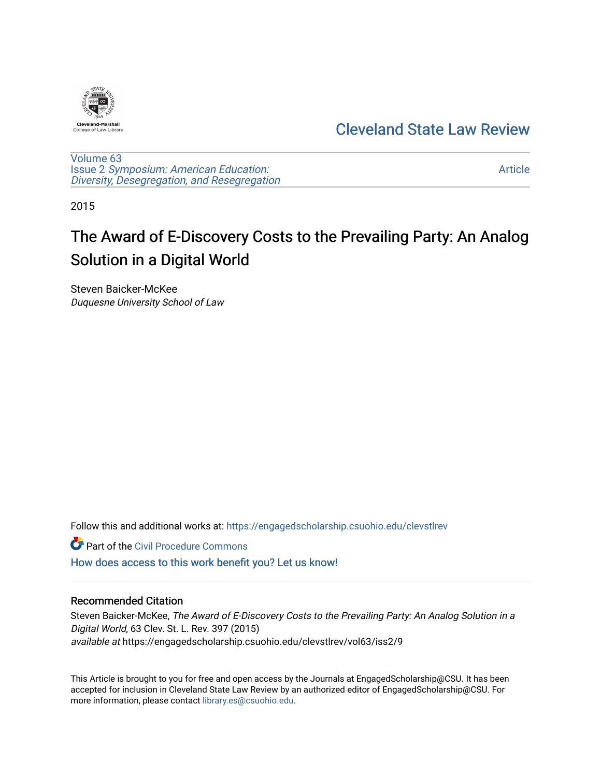

## [Cleveland State Law Review](https://engagedscholarship.csuohio.edu/clevstlrev)

[Volume 63](https://engagedscholarship.csuohio.edu/clevstlrev/vol63) Issue 2 [Symposium: American Education:](https://engagedscholarship.csuohio.edu/clevstlrev/vol63/iss2) [Diversity, Desegregation, and Resegregation](https://engagedscholarship.csuohio.edu/clevstlrev/vol63/iss2)

[Article](https://engagedscholarship.csuohio.edu/clevstlrev/vol63/iss2/9) 

2015

# The Award of E-Discovery Costs to the Prevailing Party: An Analog Solution in a Digital World

Steven Baicker-McKee Duquesne University School of Law

Follow this and additional works at: [https://engagedscholarship.csuohio.edu/clevstlrev](https://engagedscholarship.csuohio.edu/clevstlrev?utm_source=engagedscholarship.csuohio.edu%2Fclevstlrev%2Fvol63%2Fiss2%2F9&utm_medium=PDF&utm_campaign=PDFCoverPages)

**Part of the Civil Procedure Commons** 

[How does access to this work benefit you? Let us know!](http://library.csuohio.edu/engaged/)

#### Recommended Citation

Steven Baicker-McKee, The Award of E-Discovery Costs to the Prevailing Party: An Analog Solution in a Digital World, 63 Clev. St. L. Rev. 397 (2015) available at https://engagedscholarship.csuohio.edu/clevstlrev/vol63/iss2/9

This Article is brought to you for free and open access by the Journals at EngagedScholarship@CSU. It has been accepted for inclusion in Cleveland State Law Review by an authorized editor of EngagedScholarship@CSU. For more information, please contact [library.es@csuohio.edu](mailto:library.es@csuohio.edu).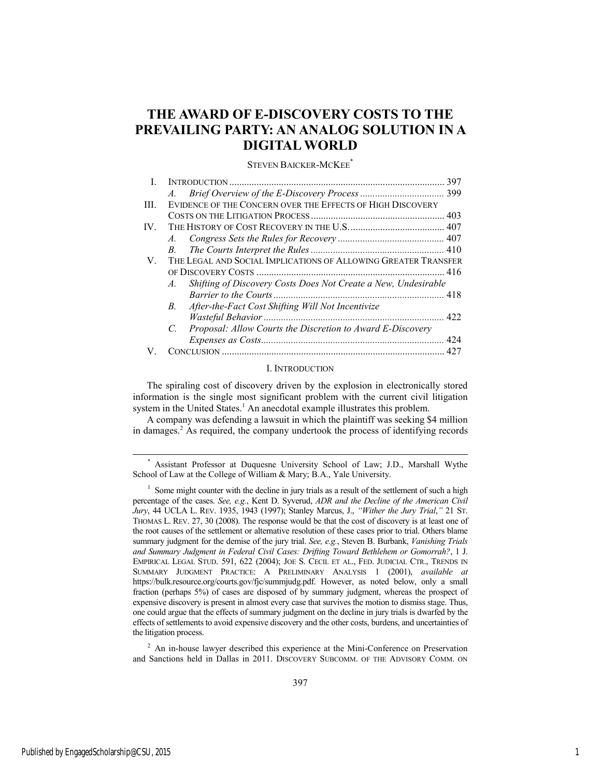### **THE AWARD OF E-DISCOVERY COSTS TO THE PREVAILING PARTY: AN ANALOG SOLUTION IN A DIGITAL WORLD**

#### STEVEN BAICKER-MCKEE\*

|     |                                                                                  | 397 |
|-----|----------------------------------------------------------------------------------|-----|
|     | $A_{\cdot}$                                                                      |     |
| Ш   | EVIDENCE OF THE CONCERN OVER THE EFFECTS OF HIGH DISCOVERY                       |     |
|     |                                                                                  |     |
| IV. |                                                                                  |     |
|     |                                                                                  |     |
|     | $B_{\cdot}$                                                                      |     |
| V.  | THE LEGAL AND SOCIAL IMPLICATIONS OF ALLOWING GREATER TRANSFER                   |     |
|     |                                                                                  |     |
|     | Shifting of Discovery Costs Does Not Create a New, Undesirable<br>$\overline{A}$ |     |
|     |                                                                                  |     |
|     | After-the-Fact Cost Shifting Will Not Incentivize<br>B.                          |     |
|     |                                                                                  |     |
|     | Proposal: Allow Courts the Discretion to Award E-Discovery<br>$C_{\cdot}$        |     |
|     |                                                                                  |     |
|     |                                                                                  |     |

#### I. INTRODUCTION

The spiraling cost of discovery driven by the explosion in electronically stored information is the single most significant problem with the current civil litigation system in the United States.<sup>1</sup> An anecdotal example illustrates this problem.

A company was defending a lawsuit in which the plaintiff was seeking \$4 million in damages.2 As required, the company undertook the process of identifying records

 \* Assistant Professor at Duquesne University School of Law; J.D., Marshall Wythe School of Law at the College of William & Mary; B.A., Yale University.

<sup>2</sup> An in-house lawyer described this experience at the Mini-Conference on Preservation and Sanctions held in Dallas in 2011. DISCOVERY SUBCOMM. OF THE ADVISORY COMM. ON

<sup>&</sup>lt;sup>1</sup> Some might counter with the decline in jury trials as a result of the settlement of such a high percentage of the cases. *See, e.g.*, Kent D. Syverud, *ADR and the Decline of the American Civil Jury*, 44 UCLA L. REV. 1935, 1943 (1997); Stanley Marcus, J., *"Wither the Jury Trial*,*"* 21 ST. THOMAS L. REV. 27, 30 (2008). The response would be that the cost of discovery is at least one of the root causes of the settlement or alternative resolution of these cases prior to trial. Others blame summary judgment for the demise of the jury trial. *See, e.g.*, Steven B. Burbank, *Vanishing Trials and Summary Judgment in Federal Civil Cases: Drifting Toward Bethlehem or Gomorrah?*, 1 J. EMPIRICAL LEGAL STUD. 591, 622 (2004); JOE S. CECIL ET AL., FED. JUDICIAL CTR., TRENDS IN SUMMARY JUDGMENT PRACTICE: A PRELIMINARY ANALYSIS 1 (2001), *available at* https://bulk.resource.org/courts.gov/fjc/summjudg.pdf. However, as noted below, only a small fraction (perhaps 5%) of cases are disposed of by summary judgment, whereas the prospect of expensive discovery is present in almost every case that survives the motion to dismiss stage. Thus, one could argue that the effects of summary judgment on the decline in jury trials is dwarfed by the effects of settlements to avoid expensive discovery and the other costs, burdens, and uncertainties of the litigation process.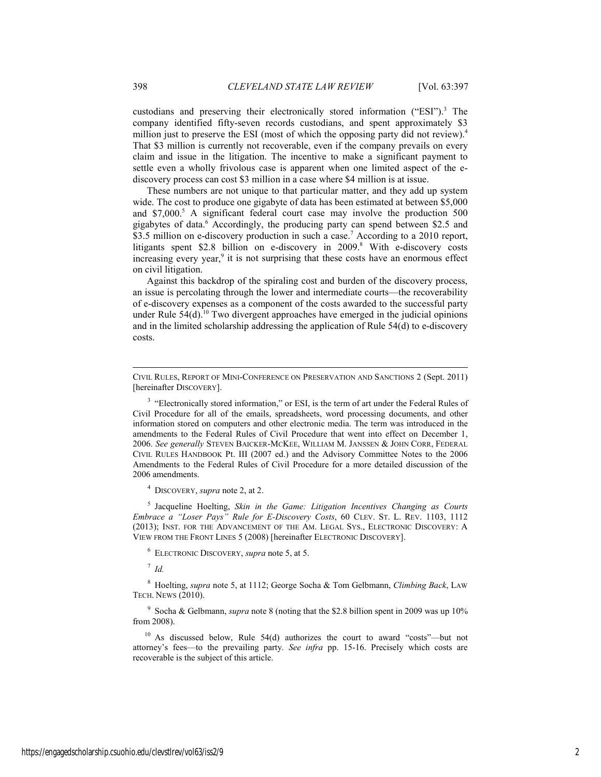custodians and preserving their electronically stored information ("ESI").<sup>3</sup> The company identified fifty-seven records custodians, and spent approximately \$3 million just to preserve the ESI (most of which the opposing party did not review).<sup>4</sup> That \$3 million is currently not recoverable, even if the company prevails on every claim and issue in the litigation. The incentive to make a significant payment to settle even a wholly frivolous case is apparent when one limited aspect of the ediscovery process can cost \$3 million in a case where \$4 million is at issue.

These numbers are not unique to that particular matter, and they add up system wide. The cost to produce one gigabyte of data has been estimated at between \$5,000 and \$7,000.<sup>5</sup> A significant federal court case may involve the production 500 gigabytes of data.<sup>6</sup> Accordingly, the producing party can spend between \$2.5 and \$3.5 million on e-discovery production in such a case.<sup>7</sup> According to a 2010 report, litigants spent \$2.8 billion on e-discovery in 2009.<sup>8</sup> With e-discovery costs increasing every year, $9$  it is not surprising that these costs have an enormous effect on civil litigation.

Against this backdrop of the spiraling cost and burden of the discovery process, an issue is percolating through the lower and intermediate courts—the recoverability of e-discovery expenses as a component of the costs awarded to the successful party under Rule  $54(d)$ .<sup>10</sup> Two divergent approaches have emerged in the judicial opinions and in the limited scholarship addressing the application of Rule 54(d) to e-discovery costs.

4 DISCOVERY, *supra* note 2, at 2.

5 Jacqueline Hoelting, *Skin in the Game: Litigation Incentives Changing as Courts Embrace a "Loser Pays" Rule for E-Discovery Costs*, 60 CLEV. ST. L. REV. 1103, 1112 (2013); INST. FOR THE ADVANCEMENT OF THE AM. LEGAL SYS., ELECTRONIC DISCOVERY: A VIEW FROM THE FRONT LINES 5 (2008) [hereinafter ELECTRONIC DISCOVERY].

6 ELECTRONIC DISCOVERY, *supra* note 5, at 5.

<sup>7</sup> *Id.*

l

8 Hoelting, *supra* note 5, at 1112; George Socha & Tom Gelbmann, *Climbing Back*, LAW TECH. NEWS (2010).

9 Socha & Gelbmann, *supra* note 8 (noting that the \$2.8 billion spent in 2009 was up 10% from 2008).

 $10$  As discussed below, Rule 54(d) authorizes the court to award "costs"—but not attorney's fees—to the prevailing party. *See infra* pp. 15-16. Precisely which costs are recoverable is the subject of this article.

CIVIL RULES, REPORT OF MINI-CONFERENCE ON PRESERVATION AND SANCTIONS 2 (Sept. 2011) [hereinafter DISCOVERY].

<sup>&</sup>lt;sup>3</sup> "Electronically stored information," or ESI, is the term of art under the Federal Rules of Civil Procedure for all of the emails, spreadsheets, word processing documents, and other information stored on computers and other electronic media. The term was introduced in the amendments to the Federal Rules of Civil Procedure that went into effect on December 1, 2006. *See generally* STEVEN BAICKER-MCKEE, WILLIAM M. JANSSEN & JOHN CORR, FEDERAL CIVIL RULES HANDBOOK Pt. III (2007 ed.) and the Advisory Committee Notes to the 2006 Amendments to the Federal Rules of Civil Procedure for a more detailed discussion of the 2006 amendments.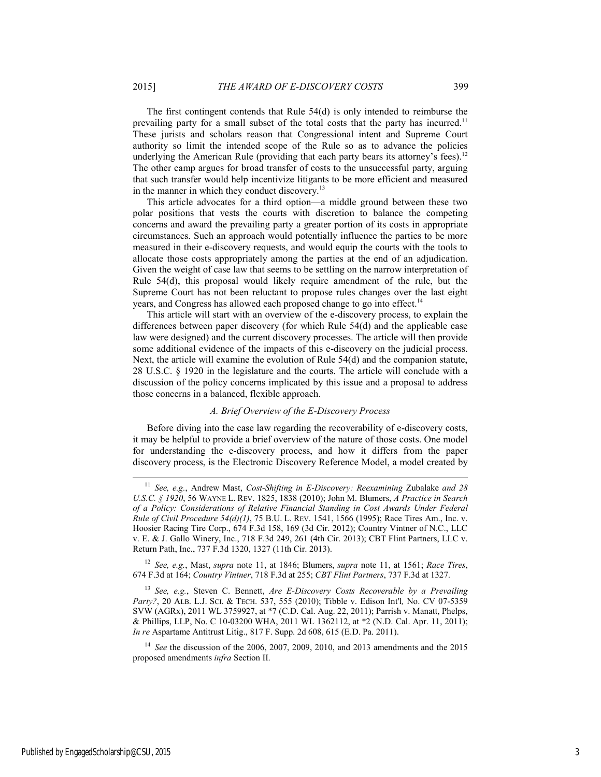The first contingent contends that Rule 54(d) is only intended to reimburse the prevailing party for a small subset of the total costs that the party has incurred.<sup>11</sup> These jurists and scholars reason that Congressional intent and Supreme Court authority so limit the intended scope of the Rule so as to advance the policies underlying the American Rule (providing that each party bears its attorney's fees).<sup>12</sup> The other camp argues for broad transfer of costs to the unsuccessful party, arguing that such transfer would help incentivize litigants to be more efficient and measured in the manner in which they conduct discovery.<sup>13</sup>

This article advocates for a third option—a middle ground between these two polar positions that vests the courts with discretion to balance the competing concerns and award the prevailing party a greater portion of its costs in appropriate circumstances. Such an approach would potentially influence the parties to be more measured in their e-discovery requests, and would equip the courts with the tools to allocate those costs appropriately among the parties at the end of an adjudication. Given the weight of case law that seems to be settling on the narrow interpretation of Rule 54(d), this proposal would likely require amendment of the rule, but the Supreme Court has not been reluctant to propose rules changes over the last eight years, and Congress has allowed each proposed change to go into effect.<sup>14</sup>

This article will start with an overview of the e-discovery process, to explain the differences between paper discovery (for which Rule 54(d) and the applicable case law were designed) and the current discovery processes. The article will then provide some additional evidence of the impacts of this e-discovery on the judicial process. Next, the article will examine the evolution of Rule 54(d) and the companion statute, 28 U.S.C. § 1920 in the legislature and the courts. The article will conclude with a discussion of the policy concerns implicated by this issue and a proposal to address those concerns in a balanced, flexible approach.

#### *A. Brief Overview of the E-Discovery Process*

Before diving into the case law regarding the recoverability of e-discovery costs, it may be helpful to provide a brief overview of the nature of those costs. One model for understanding the e-discovery process, and how it differs from the paper discovery process, is the Electronic Discovery Reference Model, a model created by

<sup>12</sup> *See, e.g.*, Mast, *supra* note 11, at 1846; Blumers, *supra* note 11, at 1561; *Race Tires*, 674 F.3d at 164; *Country Vintner*, 718 F.3d at 255; *CBT Flint Partners*, 737 F.3d at 1327.

<sup>13</sup> *See, e.g.*, Steven C. Bennett, *Are E-Discovery Costs Recoverable by a Prevailing Party?*, 20 ALB. L.J. SCI. & TECH. 537, 555 (2010); Tibble v. Edison Int'l*,* No. CV 07-5359 SVW (AGRx), 2011 WL 3759927, at \*7 (C.D. Cal. Aug. 22, 2011); Parrish v. Manatt, Phelps, & Phillips, LLP, No. C 10-03200 WHA, 2011 WL 1362112, at \*2 (N.D. Cal. Apr. 11, 2011); *In re* Aspartame Antitrust Litig., 817 F. Supp. 2d 608, 615 (E.D. Pa. 2011).

<sup>14</sup> *See* the discussion of the 2006, 2007, 2009, 2010, and 2013 amendments and the 2015 proposed amendments *infra* Section II.

 <sup>11</sup> *See, e.g.*, Andrew Mast, *Cost-Shifting in E-Discovery: Reexamining* Zubalake *and 28 U.S.C. § 1920*, 56 WAYNE L. REV. 1825, 1838 (2010); John M. Blumers, *A Practice in Search of a Policy: Considerations of Relative Financial Standing in Cost Awards Under Federal Rule of Civil Procedure 54(d)(1)*, 75 B.U. L. REV. 1541, 1566 (1995); Race Tires Am., Inc. v. Hoosier Racing Tire Corp., 674 F.3d 158, 169 (3d Cir. 2012); Country Vintner of N.C., LLC v. E. & J. Gallo Winery, Inc., 718 F.3d 249, 261 (4th Cir. 2013); CBT Flint Partners, LLC v. Return Path, Inc., 737 F.3d 1320, 1327 (11th Cir. 2013).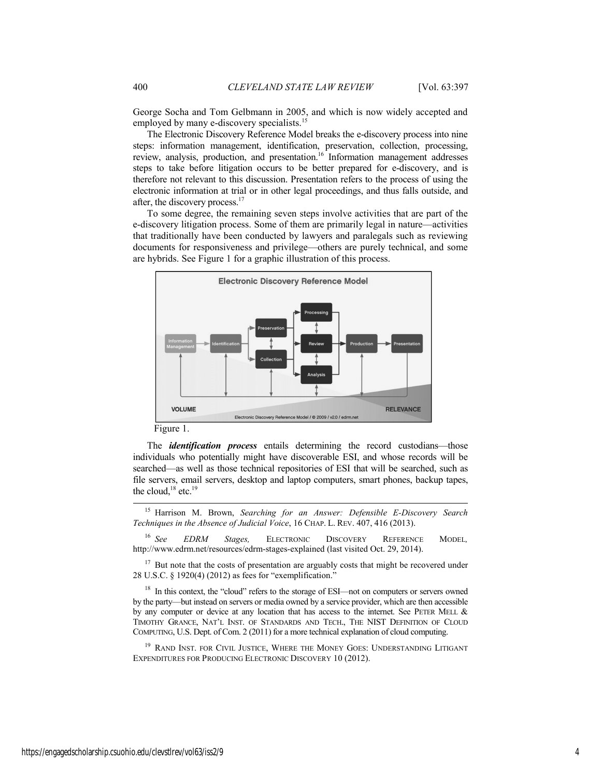George Socha and Tom Gelbmann in 2005, and which is now widely accepted and employed by many e-discovery specialists.<sup>15</sup>

The Electronic Discovery Reference Model breaks the e-discovery process into nine steps: information management, identification, preservation, collection, processing, review, analysis, production, and presentation.16 Information management addresses steps to take before litigation occurs to be better prepared for e-discovery, and is therefore not relevant to this discussion. Presentation refers to the process of using the electronic information at trial or in other legal proceedings, and thus falls outside, and after, the discovery process.<sup>17</sup>

To some degree, the remaining seven steps involve activities that are part of the e-discovery litigation process. Some of them are primarily legal in nature—activities that traditionally have been conducted by lawyers and paralegals such as reviewing documents for responsiveness and privilege—others are purely technical, and some are hybrids. See Figure 1 for a graphic illustration of this process.



Figure 1.

The *identification process* entails determining the record custodians—those individuals who potentially might have discoverable ESI, and whose records will be searched—as well as those technical repositories of ESI that will be searched, such as file servers, email servers, desktop and laptop computers, smart phones, backup tapes, the cloud,<sup>18</sup> etc.<sup>19</sup>

 15 Harrison M. Brown, *Searching for an Answer: Defensible E-Discovery Search Techniques in the Absence of Judicial Voice*, 16 CHAP. L. REV. 407, 416 (2013).

<sup>16</sup> *See EDRM Stages,* ELECTRONIC DISCOVERY REFERENCE MODEL*,*  http://www.edrm.net/resources/edrm-stages-explained (last visited Oct. 29, 2014).

<sup>17</sup> But note that the costs of presentation are arguably costs that might be recovered under 28 U.S.C. § 1920(4) (2012) as fees for "exemplification."

<sup>18</sup> In this context, the "cloud" refers to the storage of ESI—not on computers or servers owned by the party—but instead on servers or media owned by a service provider, which are then accessible by any computer or device at any location that has access to the internet. See PETER MELL & TIMOTHY GRANCE, NAT'L INST. OF STANDARDS AND TECH., THE NIST DEFINITION OF CLOUD COMPUTING, U.S. Dept. of Com. 2 (2011) for a more technical explanation of cloud computing.

<sup>19</sup> RAND INST. FOR CIVIL JUSTICE, WHERE THE MONEY GOES: UNDERSTANDING LITIGANT EXPENDITURES FOR PRODUCING ELECTRONIC DISCOVERY 10 (2012).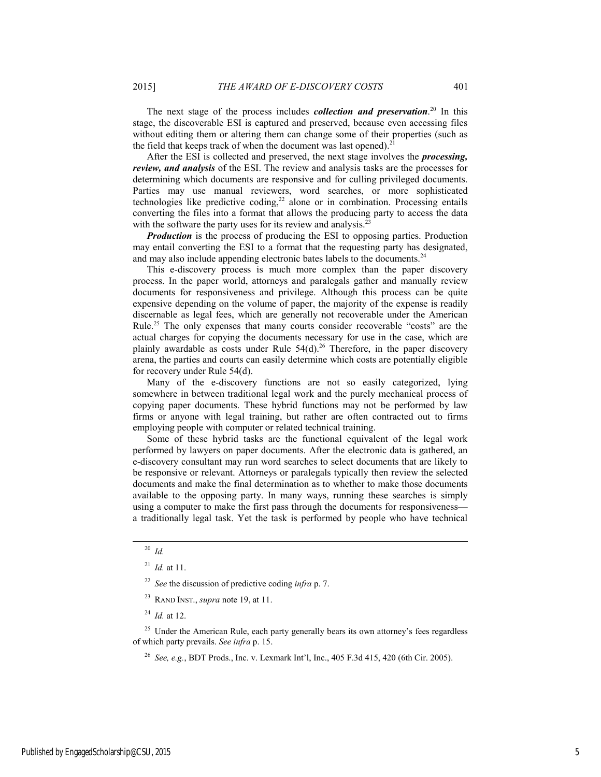The next stage of the process includes *collection and preservation*. 20 In this stage, the discoverable ESI is captured and preserved, because even accessing files without editing them or altering them can change some of their properties (such as the field that keeps track of when the document was last opened). $21$ 

After the ESI is collected and preserved, the next stage involves the *processing, review, and analysis* of the ESI. The review and analysis tasks are the processes for determining which documents are responsive and for culling privileged documents. Parties may use manual reviewers, word searches, or more sophisticated technologies like predictive coding, $22$  alone or in combination. Processing entails converting the files into a format that allows the producing party to access the data with the software the party uses for its review and analysis.<sup>2</sup>

*Production* is the process of producing the ESI to opposing parties. Production may entail converting the ESI to a format that the requesting party has designated, and may also include appending electronic bates labels to the documents.<sup>24</sup>

This e-discovery process is much more complex than the paper discovery process. In the paper world, attorneys and paralegals gather and manually review documents for responsiveness and privilege. Although this process can be quite expensive depending on the volume of paper, the majority of the expense is readily discernable as legal fees, which are generally not recoverable under the American Rule.25 The only expenses that many courts consider recoverable "costs" are the actual charges for copying the documents necessary for use in the case, which are plainly awardable as costs under Rule  $54(d)$ .<sup>26</sup> Therefore, in the paper discovery arena, the parties and courts can easily determine which costs are potentially eligible for recovery under Rule 54(d).

Many of the e-discovery functions are not so easily categorized, lying somewhere in between traditional legal work and the purely mechanical process of copying paper documents. These hybrid functions may not be performed by law firms or anyone with legal training, but rather are often contracted out to firms employing people with computer or related technical training.

Some of these hybrid tasks are the functional equivalent of the legal work performed by lawyers on paper documents. After the electronic data is gathered, an e-discovery consultant may run word searches to select documents that are likely to be responsive or relevant. Attorneys or paralegals typically then review the selected documents and make the final determination as to whether to make those documents available to the opposing party. In many ways, running these searches is simply using a computer to make the first pass through the documents for responsiveness a traditionally legal task. Yet the task is performed by people who have technical

<sup>25</sup> Under the American Rule, each party generally bears its own attorney's fees regardless of which party prevails. *See infra* p. 15.

<sup>26</sup> *See, e.g.*, BDT Prods., Inc. v. Lexmark Int'l, Inc., 405 F.3d 415, 420 (6th Cir. 2005).

 <sup>20</sup> *Id.* 

<sup>21</sup> *Id.* at 11.

<sup>22</sup> *See* the discussion of predictive coding *infra* p. 7.

<sup>23</sup> RAND INST., *supra* note 19, at 11.

<sup>24</sup> *Id.* at 12.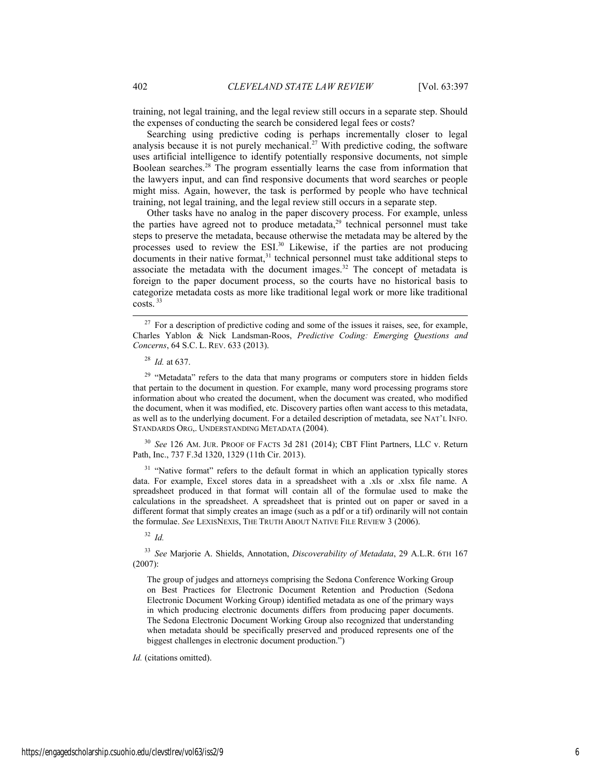training, not legal training, and the legal review still occurs in a separate step. Should the expenses of conducting the search be considered legal fees or costs?

Searching using predictive coding is perhaps incrementally closer to legal analysis because it is not purely mechanical.<sup>27</sup> With predictive coding, the software uses artificial intelligence to identify potentially responsive documents, not simple Boolean searches.28 The program essentially learns the case from information that the lawyers input, and can find responsive documents that word searches or people might miss. Again, however, the task is performed by people who have technical training, not legal training, and the legal review still occurs in a separate step.

Other tasks have no analog in the paper discovery process. For example, unless the parties have agreed not to produce metadata, $29$  technical personnel must take steps to preserve the metadata, because otherwise the metadata may be altered by the processes used to review the ESI.<sup>30</sup> Likewise, if the parties are not producing  $\frac{1}{2}$  documents in their native format,<sup>31</sup> technical personnel must take additional steps to associate the metadata with the document images.<sup>32</sup> The concept of metadata is foreign to the paper document process, so the courts have no historical basis to categorize metadata costs as more like traditional legal work or more like traditional costs.<sup>33</sup>

<sup>29</sup> "Metadata" refers to the data that many programs or computers store in hidden fields that pertain to the document in question. For example, many word processing programs store information about who created the document, when the document was created, who modified the document, when it was modified, etc. Discovery parties often want access to this metadata, as well as to the underlying document. For a detailed description of metadata, see NAT'L INFO. STANDARDS ORG,. UNDERSTANDING METADATA (2004).

<sup>30</sup> *See* 126 AM. JUR. PROOF OF FACTS 3d 281 (2014); CBT Flint Partners, LLC v. Return Path, Inc., 737 F.3d 1320, 1329 (11th Cir. 2013).

<sup>31</sup> "Native format" refers to the default format in which an application typically stores data. For example, Excel stores data in a spreadsheet with a .xls or .xlsx file name. A spreadsheet produced in that format will contain all of the formulae used to make the calculations in the spreadsheet. A spreadsheet that is printed out on paper or saved in a different format that simply creates an image (such as a pdf or a tif) ordinarily will not contain the formulae. *See* LEXISNEXIS, THE TRUTH ABOUT NATIVE FILE REVIEW 3 (2006).

<sup>32</sup> *Id.* 

<sup>33</sup> *See* Marjorie A. Shields, Annotation, *Discoverability of Metadata*, 29 A.L.R. 6TH 167 (2007):

The group of judges and attorneys comprising the Sedona Conference Working Group on Best Practices for Electronic Document Retention and Production (Sedona Electronic Document Working Group) identified metadata as one of the primary ways in which producing electronic documents differs from producing paper documents. The Sedona Electronic Document Working Group also recognized that understanding when metadata should be specifically preserved and produced represents one of the biggest challenges in electronic document production.")

*Id.* (citations omitted).

<sup>&</sup>lt;sup>27</sup> For a description of predictive coding and some of the issues it raises, see, for example, Charles Yablon & Nick Landsman-Roos, *Predictive Coding: Emerging Questions and Concerns*, 64 S.C. L. REV. 633 (2013).

<sup>28</sup> *Id.* at 637.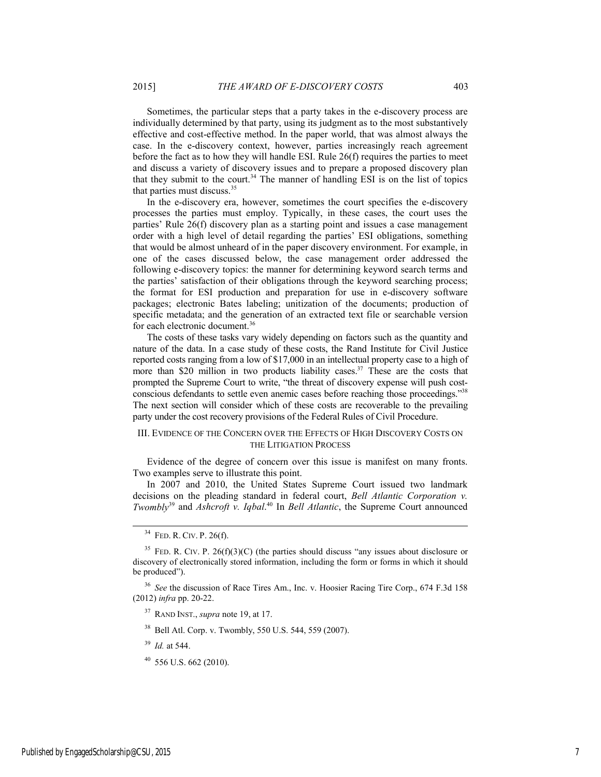Sometimes, the particular steps that a party takes in the e-discovery process are individually determined by that party, using its judgment as to the most substantively effective and cost-effective method. In the paper world, that was almost always the case. In the e-discovery context, however, parties increasingly reach agreement before the fact as to how they will handle ESI. Rule 26(f) requires the parties to meet and discuss a variety of discovery issues and to prepare a proposed discovery plan that they submit to the court.<sup>34</sup> The manner of handling ESI is on the list of topics that parties must discuss.35

In the e-discovery era, however, sometimes the court specifies the e-discovery processes the parties must employ. Typically, in these cases, the court uses the parties' Rule 26(f) discovery plan as a starting point and issues a case management order with a high level of detail regarding the parties' ESI obligations, something that would be almost unheard of in the paper discovery environment. For example, in one of the cases discussed below, the case management order addressed the following e-discovery topics: the manner for determining keyword search terms and the parties' satisfaction of their obligations through the keyword searching process; the format for ESI production and preparation for use in e-discovery software packages; electronic Bates labeling; unitization of the documents; production of specific metadata; and the generation of an extracted text file or searchable version for each electronic document.<sup>36</sup>

The costs of these tasks vary widely depending on factors such as the quantity and nature of the data. In a case study of these costs, the Rand Institute for Civil Justice reported costs ranging from a low of \$17,000 in an intellectual property case to a high of more than \$20 million in two products liability cases.<sup>37</sup> These are the costs that prompted the Supreme Court to write, "the threat of discovery expense will push costconscious defendants to settle even anemic cases before reaching those proceedings."38 The next section will consider which of these costs are recoverable to the prevailing party under the cost recovery provisions of the Federal Rules of Civil Procedure.

#### III. EVIDENCE OF THE CONCERN OVER THE EFFECTS OF HIGH DISCOVERY COSTS ON THE LITIGATION PROCESS

Evidence of the degree of concern over this issue is manifest on many fronts. Two examples serve to illustrate this point.

In 2007 and 2010, the United States Supreme Court issued two landmark decisions on the pleading standard in federal court, *Bell Atlantic Corporation v. Twombly*39 and *Ashcroft v. Iqbal*. 40 In *Bell Atlantic*, the Supreme Court announced

- 38 Bell Atl. Corp. v. Twombly, 550 U.S. 544, 559 (2007).
- <sup>39</sup> *Id.* at 544.
- $40$  556 U.S. 662 (2010).

 <sup>34</sup> FED. R. CIV. P. 26(f).

<sup>&</sup>lt;sup>35</sup> FED. R. CIV. P. 26(f)(3)(C) (the parties should discuss "any issues about disclosure or discovery of electronically stored information, including the form or forms in which it should be produced").

<sup>36</sup> *See* the discussion of Race Tires Am., Inc. v. Hoosier Racing Tire Corp., 674 F.3d 158 (2012) *infra* pp. 20-22.

<sup>37</sup> RAND INST., *supra* note 19, at 17.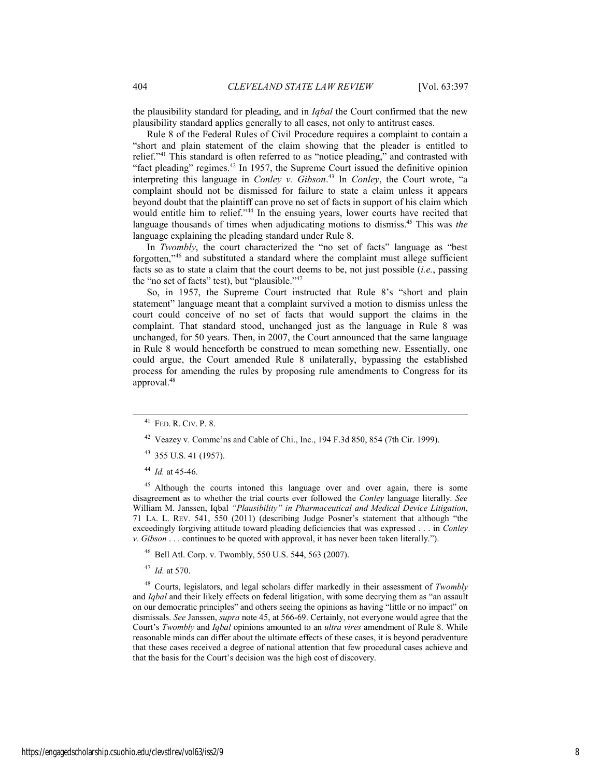the plausibility standard for pleading, and in *Iqbal* the Court confirmed that the new plausibility standard applies generally to all cases, not only to antitrust cases.

Rule 8 of the Federal Rules of Civil Procedure requires a complaint to contain a "short and plain statement of the claim showing that the pleader is entitled to relief."41 This standard is often referred to as "notice pleading," and contrasted with "fact pleading" regimes.<sup>42</sup> In 1957, the Supreme Court issued the definitive opinion interpreting this language in *Conley v. Gibson*. 43 In *Conley*, the Court wrote, "a complaint should not be dismissed for failure to state a claim unless it appears beyond doubt that the plaintiff can prove no set of facts in support of his claim which would entitle him to relief."<sup>44</sup> In the ensuing years, lower courts have recited that language thousands of times when adjudicating motions to dismiss.45 This was *the*  language explaining the pleading standard under Rule 8.

In *Twombly*, the court characterized the "no set of facts" language as "best forgotten,"46 and substituted a standard where the complaint must allege sufficient facts so as to state a claim that the court deems to be, not just possible (*i.e.*, passing the "no set of facts" test), but "plausible."47

So, in 1957, the Supreme Court instructed that Rule 8's "short and plain statement" language meant that a complaint survived a motion to dismiss unless the court could conceive of no set of facts that would support the claims in the complaint. That standard stood, unchanged just as the language in Rule 8 was unchanged, for 50 years. Then, in 2007, the Court announced that the same language in Rule 8 would henceforth be construed to mean something new. Essentially, one could argue, the Court amended Rule 8 unilaterally, bypassing the established process for amending the rules by proposing rule amendments to Congress for its approval.48

<sup>45</sup> Although the courts intoned this language over and over again, there is some disagreement as to whether the trial courts ever followed the *Conley* language literally. *See* William M. Janssen, Iqbal *"Plausibility" in Pharmaceutical and Medical Device Litigation*, 71 LA. L. REV. 541, 550 (2011) (describing Judge Posner's statement that although "the exceedingly forgiving attitude toward pleading deficiencies that was expressed . . . in *Conley v. Gibson* . . . continues to be quoted with approval, it has never been taken literally.").

46 Bell Atl. Corp. v. Twombly, 550 U.S. 544, 563 (2007).

<sup>47</sup> *Id.* at 570.

48 Courts, legislators, and legal scholars differ markedly in their assessment of *Twombly*  and *Iqbal* and their likely effects on federal litigation, with some decrying them as "an assault on our democratic principles" and others seeing the opinions as having "little or no impact" on dismissals. *See* Janssen, *supra* note 45, at 566-69. Certainly, not everyone would agree that the Court's *Twombly* and *Iqbal* opinions amounted to an *ultra vires* amendment of Rule 8. While reasonable minds can differ about the ultimate effects of these cases, it is beyond peradventure that these cases received a degree of national attention that few procedural cases achieve and that the basis for the Court's decision was the high cost of discovery.

 <sup>41</sup> FED. R. CIV. P. 8.

<sup>42</sup> Veazey v. Commc'ns and Cable of Chi., Inc., 194 F.3d 850, 854 (7th Cir. 1999).

<sup>43 355</sup> U.S. 41 (1957).

<sup>44</sup> *Id.* at 45-46.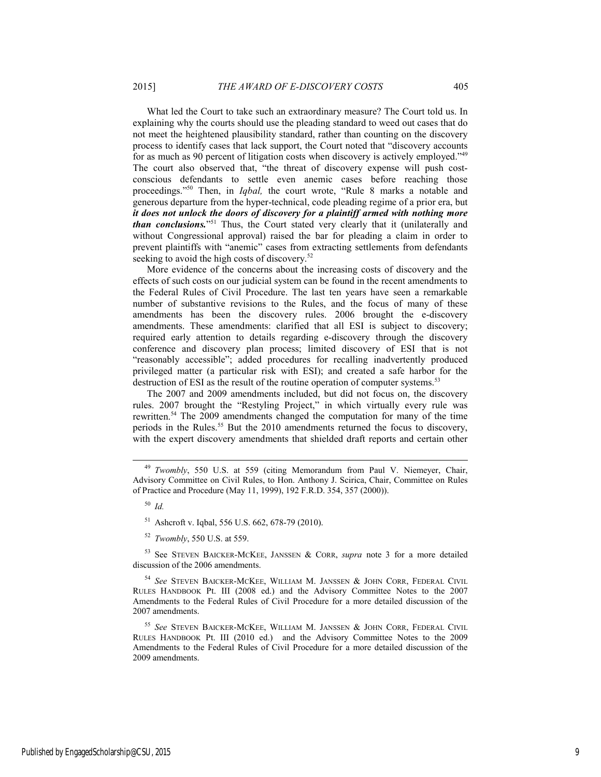What led the Court to take such an extraordinary measure? The Court told us. In explaining why the courts should use the pleading standard to weed out cases that do not meet the heightened plausibility standard, rather than counting on the discovery process to identify cases that lack support, the Court noted that "discovery accounts for as much as 90 percent of litigation costs when discovery is actively employed."49 The court also observed that, "the threat of discovery expense will push costconscious defendants to settle even anemic cases before reaching those proceedings."50 Then, in *Iqbal,* the court wrote, "Rule 8 marks a notable and generous departure from the hyper-technical, code pleading regime of a prior era, but *it does not unlock the doors of discovery for a plaintiff armed with nothing more than conclusions.*"<sup>51</sup> Thus, the Court stated very clearly that it (unilaterally and without Congressional approval) raised the bar for pleading a claim in order to prevent plaintiffs with "anemic" cases from extracting settlements from defendants

More evidence of the concerns about the increasing costs of discovery and the effects of such costs on our judicial system can be found in the recent amendments to the Federal Rules of Civil Procedure. The last ten years have seen a remarkable number of substantive revisions to the Rules, and the focus of many of these amendments has been the discovery rules. 2006 brought the e-discovery amendments. These amendments: clarified that all ESI is subject to discovery; required early attention to details regarding e-discovery through the discovery conference and discovery plan process; limited discovery of ESI that is not "reasonably accessible"; added procedures for recalling inadvertently produced privileged matter (a particular risk with ESI); and created a safe harbor for the destruction of ESI as the result of the routine operation of computer systems.<sup>53</sup>

The 2007 and 2009 amendments included, but did not focus on, the discovery rules. 2007 brought the "Restyling Project," in which virtually every rule was rewritten.54 The 2009 amendments changed the computation for many of the time periods in the Rules.<sup>55</sup> But the 2010 amendments returned the focus to discovery, with the expert discovery amendments that shielded draft reports and certain other

seeking to avoid the high costs of discovery.<sup>52</sup>

<sup>54</sup> *See* STEVEN BAICKER-MCKEE, WILLIAM M. JANSSEN & JOHN CORR, FEDERAL CIVIL RULES HANDBOOK Pt. III (2008 ed.) and the Advisory Committee Notes to the 2007 Amendments to the Federal Rules of Civil Procedure for a more detailed discussion of the 2007 amendments.

<sup>55</sup> *See* STEVEN BAICKER-MCKEE, WILLIAM M. JANSSEN & JOHN CORR, FEDERAL CIVIL RULES HANDBOOK Pt. III (2010 ed.) and the Advisory Committee Notes to the 2009 Amendments to the Federal Rules of Civil Procedure for a more detailed discussion of the 2009 amendments.

<sup>&</sup>lt;sup>49</sup> *Twombly*, 550 U.S. at 559 (citing Memorandum from Paul V. Niemeyer, Chair, Advisory Committee on Civil Rules, to Hon. Anthony J. Scirica, Chair, Committee on Rules of Practice and Procedure (May 11, 1999), 192 F.R.D. 354, 357 (2000)).

<sup>50</sup> *Id.*

<sup>51</sup> Ashcroft v. Iqbal, 556 U.S. 662, 678-79 (2010).

<sup>52</sup> *Twombly*, 550 U.S. at 559.

<sup>53</sup> See STEVEN BAICKER-MCKEE, JANSSEN & CORR, *supra* note 3 for a more detailed discussion of the 2006 amendments.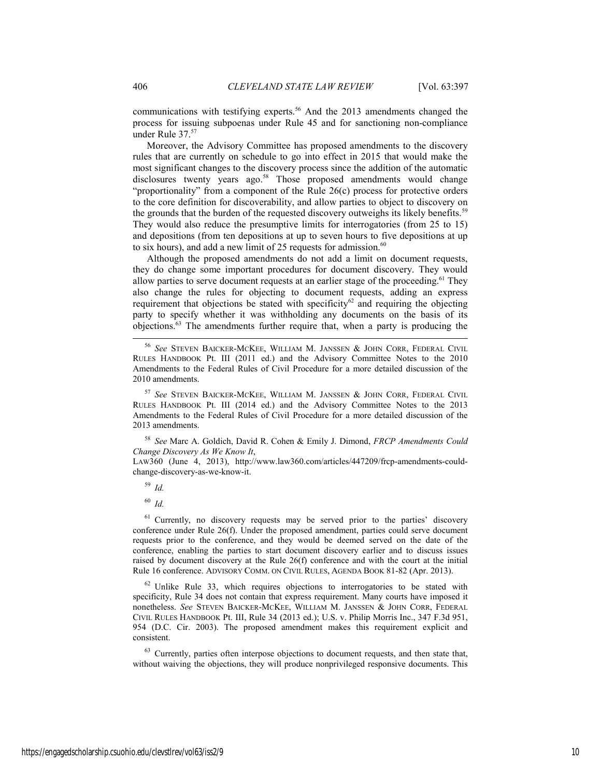communications with testifying experts.<sup>56</sup> And the 2013 amendments changed the process for issuing subpoenas under Rule 45 and for sanctioning non-compliance under Rule 37.<sup>57</sup>

Moreover, the Advisory Committee has proposed amendments to the discovery rules that are currently on schedule to go into effect in 2015 that would make the most significant changes to the discovery process since the addition of the automatic disclosures twenty years ago.<sup>58</sup> Those proposed amendments would change "proportionality" from a component of the Rule 26(c) process for protective orders to the core definition for discoverability, and allow parties to object to discovery on the grounds that the burden of the requested discovery outweighs its likely benefits.<sup>59</sup> They would also reduce the presumptive limits for interrogatories (from 25 to 15) and depositions (from ten depositions at up to seven hours to five depositions at up to six hours), and add a new limit of 25 requests for admission. $60$ 

Although the proposed amendments do not add a limit on document requests, they do change some important procedures for document discovery. They would allow parties to serve document requests at an earlier stage of the proceeding.<sup>61</sup> They also change the rules for objecting to document requests, adding an express requirement that objections be stated with specificity<sup>62</sup> and requiring the objecting party to specify whether it was withholding any documents on the basis of its objections.63 The amendments further require that, when a party is producing the

<sup>58</sup> *See* Marc A. Goldich, David R. Cohen & Emily J. Dimond, *FRCP Amendments Could Change Discovery As We Know It*,

LAW360 (June 4, 2013), http://www.law360.com/articles/447209/frcp-amendments-couldchange-discovery-as-we-know-it.

<sup>59</sup> *Id.* 

<sup>60</sup> *Id.*

<sup>61</sup> Currently, no discovery requests may be served prior to the parties' discovery conference under Rule 26(f). Under the proposed amendment, parties could serve document requests prior to the conference, and they would be deemed served on the date of the conference, enabling the parties to start document discovery earlier and to discuss issues raised by document discovery at the Rule 26(f) conference and with the court at the initial Rule 16 conference. ADVISORY COMM. ON CIVIL RULES, AGENDA BOOK 81-82 (Apr. 2013).

 $62$  Unlike Rule 33, which requires objections to interrogatories to be stated with specificity, Rule 34 does not contain that express requirement. Many courts have imposed it nonetheless. *See* STEVEN BAICKER-MCKEE, WILLIAM M. JANSSEN & JOHN CORR, FEDERAL CIVIL RULES HANDBOOK Pt. III, Rule 34 (2013 ed.); U.S. v. Philip Morris Inc., 347 F.3d 951, 954 (D.C. Cir. 2003). The proposed amendment makes this requirement explicit and consistent.

<sup>63</sup> Currently, parties often interpose objections to document requests, and then state that, without waiving the objections, they will produce nonprivileged responsive documents. This

 <sup>56</sup> *See* STEVEN BAICKER-MCKEE, WILLIAM M. JANSSEN & JOHN CORR, FEDERAL CIVIL RULES HANDBOOK Pt. III (2011 ed.) and the Advisory Committee Notes to the 2010 Amendments to the Federal Rules of Civil Procedure for a more detailed discussion of the 2010 amendments.

See STEVEN BAICKER-MCKEE, WILLIAM M. JANSSEN & JOHN CORR, FEDERAL CIVIL RULES HANDBOOK Pt. III (2014 ed.) and the Advisory Committee Notes to the 2013 Amendments to the Federal Rules of Civil Procedure for a more detailed discussion of the 2013 amendments.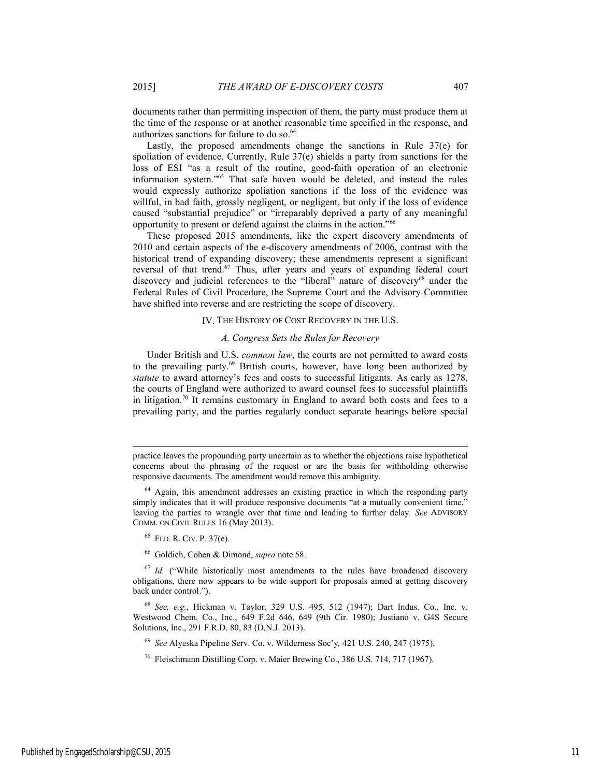documents rather than permitting inspection of them, the party must produce them at the time of the response or at another reasonable time specified in the response, and authorizes sanctions for failure to do so.<sup>64</sup>

Lastly, the proposed amendments change the sanctions in Rule 37(e) for spoliation of evidence. Currently, Rule 37(e) shields a party from sanctions for the loss of ESI "as a result of the routine, good-faith operation of an electronic information system."65 That safe haven would be deleted, and instead the rules would expressly authorize spoliation sanctions if the loss of the evidence was willful, in bad faith, grossly negligent, or negligent, but only if the loss of evidence caused "substantial prejudice" or "irreparably deprived a party of any meaningful opportunity to present or defend against the claims in the action."66

These proposed 2015 amendments, like the expert discovery amendments of 2010 and certain aspects of the e-discovery amendments of 2006, contrast with the historical trend of expanding discovery; these amendments represent a significant reversal of that trend.<sup>67</sup> Thus, after years and years of expanding federal court discovery and judicial references to the "liberal" nature of discovery<sup>68</sup> under the Federal Rules of Civil Procedure, the Supreme Court and the Advisory Committee have shifted into reverse and are restricting the scope of discovery.

#### IV. THE HISTORY OF COST RECOVERY IN THE U.S.

#### *A. Congress Sets the Rules for Recovery*

Under British and U.S. *common law*, the courts are not permitted to award costs to the prevailing party.<sup>69</sup> British courts, however, have long been authorized by *statute* to award attorney's fees and costs to successful litigants. As early as 1278, the courts of England were authorized to award counsel fees to successful plaintiffs in litigation.70 It remains customary in England to award both costs and fees to a prevailing party, and the parties regularly conduct separate hearings before special

l

66 Goldich, Cohen & Dimond, *supra* note 58.

<sup>67</sup> *Id.* ("While historically most amendments to the rules have broadened discovery obligations, there now appears to be wide support for proposals aimed at getting discovery back under control.").

<sup>68</sup> *See, e.g.*, Hickman v. Taylor, 329 U.S. 495, 512 (1947); Dart Indus. Co., Inc. v. Westwood Chem. Co., Inc., 649 F.2d 646, 649 (9th Cir. 1980); Justiano v. G4S Secure Solutions, Inc., 291 F.R.D. 80, 83 (D.N.J. 2013).

<sup>69</sup> *See* Alyeska Pipeline Serv. Co. v. Wilderness Soc'y*,* 421 U.S. 240, 247 (1975).

70 Fleischmann Distilling Corp. v. Maier Brewing Co., 386 U.S. 714, 717 (1967).

practice leaves the propounding party uncertain as to whether the objections raise hypothetical concerns about the phrasing of the request or are the basis for withholding otherwise responsive documents. The amendment would remove this ambiguity.

<sup>&</sup>lt;sup>64</sup> Again, this amendment addresses an existing practice in which the responding party simply indicates that it will produce responsive documents "at a mutually convenient time," leaving the parties to wrangle over that time and leading to further delay. *See* ADVISORY COMM. ON CIVIL RULES 16 (May 2013).

<sup>65</sup> FED. R. CIV. P. 37(e).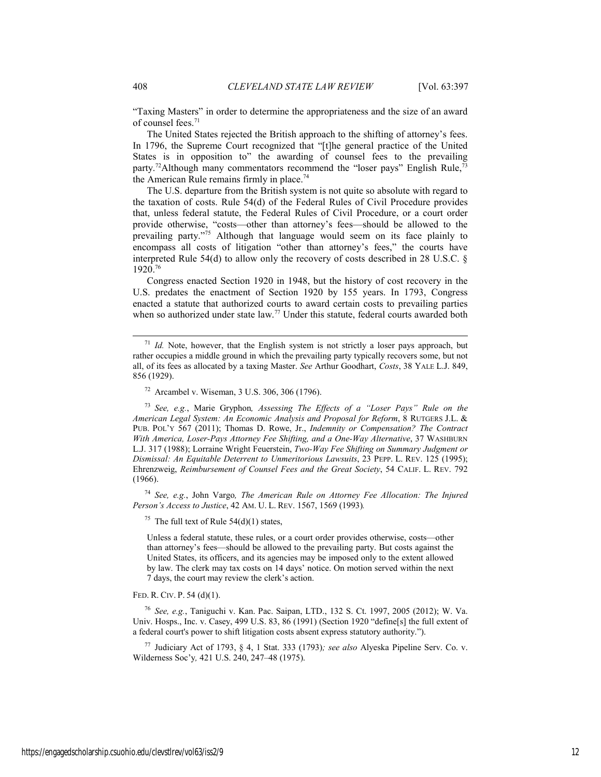"Taxing Masters" in order to determine the appropriateness and the size of an award of counsel fees.<sup>71</sup>

The United States rejected the British approach to the shifting of attorney's fees. In 1796, the Supreme Court recognized that "[t]he general practice of the United States is in opposition to" the awarding of counsel fees to the prevailing party.<sup>72</sup>Although many commentators recommend the "loser pays" English Rule, $^{73}$ the American Rule remains firmly in place.<sup>74</sup>

The U.S. departure from the British system is not quite so absolute with regard to the taxation of costs. Rule 54(d) of the Federal Rules of Civil Procedure provides that, unless federal statute, the Federal Rules of Civil Procedure, or a court order provide otherwise, "costs—other than attorney's fees—should be allowed to the prevailing party."75 Although that language would seem on its face plainly to encompass all costs of litigation "other than attorney's fees," the courts have interpreted Rule 54(d) to allow only the recovery of costs described in 28 U.S.C. § 1920.76

Congress enacted Section 1920 in 1948, but the history of cost recovery in the U.S. predates the enactment of Section 1920 by 155 years. In 1793, Congress enacted a statute that authorized courts to award certain costs to prevailing parties when so authorized under state law.<sup>77</sup> Under this statute, federal courts awarded both

<sup>73</sup> *See, e.g.*, Marie Gryphon*, Assessing The Effects of a "Loser Pays" Rule on the American Legal System: An Economic Analysis and Proposal for Reform*, 8 RUTGERS J.L. & PUB. POL'Y 567 (2011); Thomas D. Rowe, Jr., *Indemnity or Compensation? The Contract With America, Loser-Pays Attorney Fee Shifting, and a One-Way Alternative*, 37 WASHBURN L.J. 317 (1988); Lorraine Wright Feuerstein, *Two-Way Fee Shifting on Summary Judgment or Dismissal: An Equitable Deterrent to Unmeritorious Lawsuits*, 23 PEPP. L. REV. 125 (1995); Ehrenzweig, *Reimbursement of Counsel Fees and the Great Society*, 54 CALIF. L. REV. 792 (1966).

<sup>74</sup> *See, e.g.*, John Vargo*, The American Rule on Attorney Fee Allocation: The Injured Person's Access to Justice*, 42 AM. U. L. REV. 1567, 1569 (1993)*.*

<sup>75</sup> The full text of Rule  $54(d)(1)$  states,

Unless a federal statute, these rules, or a court order provides otherwise, costs—other than attorney's fees—should be allowed to the prevailing party. But costs against the United States, its officers, and its agencies may be imposed only to the extent allowed by law. The clerk may tax costs on 14 days' notice. On motion served within the next 7 days, the court may review the clerk's action.

#### FED. R. CIV. P. 54 (d)(1).

<sup>76</sup> *See, e.g.*, Taniguchi v. Kan. Pac. Saipan, LTD., 132 S. Ct. 1997, 2005 (2012); W. Va. Univ. Hosps., Inc. v. Casey, 499 U.S. 83, 86 (1991) (Section 1920 "define[s] the full extent of a federal court's power to shift litigation costs absent express statutory authority.").

77 Judiciary Act of 1793, § 4, 1 Stat. 333 (1793)*; see also* Alyeska Pipeline Serv. Co. v. Wilderness Soc'y*,* 421 U.S. 240, 247–48 (1975).

<sup>&</sup>lt;sup>71</sup> *Id.* Note, however, that the English system is not strictly a loser pays approach, but rather occupies a middle ground in which the prevailing party typically recovers some, but not all, of its fees as allocated by a taxing Master. *See* Arthur Goodhart, *Costs*, 38 YALE L.J. 849, 856 (1929).

<sup>72</sup> Arcambel v. Wiseman, 3 U.S. 306, 306 (1796).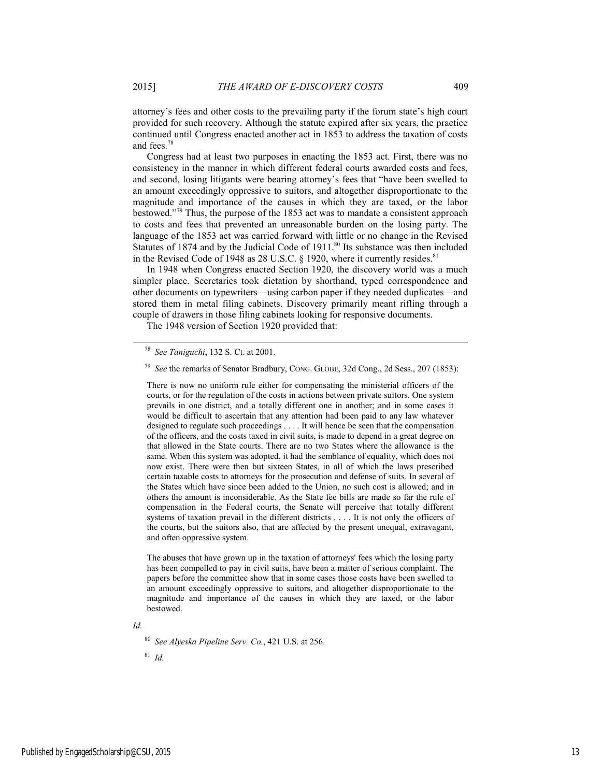Congress had at least two purposes in enacting the 1853 act. First, there was no consistency in the manner in which different federal courts awarded costs and fees, and second, losing litigants were bearing attorney's fees that "have been swelled to an amount exceedingly oppressive to suitors, and altogether disproportionate to the magnitude and importance of the causes in which they are taxed, or the labor bestowed."79 Thus, the purpose of the 1853 act was to mandate a consistent approach to costs and fees that prevented an unreasonable burden on the losing party. The language of the 1853 act was carried forward with little or no change in the Revised Statutes of 1874 and by the Judicial Code of 1911.<sup>80</sup> Its substance was then included in the Revised Code of 1948 as 28 U.S.C. § 1920, where it currently resides.<sup>81</sup>

In 1948 when Congress enacted Section 1920, the discovery world was a much simpler place. Secretaries took dictation by shorthand, typed correspondence and other documents on typewriters—using carbon paper if they needed duplicates—and stored them in metal filing cabinets. Discovery primarily meant rifling through a couple of drawers in those filing cabinets looking for responsive documents.

The 1948 version of Section 1920 provided that:

and fees.78

There is now no uniform rule either for compensating the ministerial officers of the courts, or for the regulation of the costs in actions between private suitors. One system prevails in one district, and a totally different one in another; and in some cases it would be difficult to ascertain that any attention had been paid to any law whatever designed to regulate such proceedings . . . . It will hence be seen that the compensation of the officers, and the costs taxed in civil suits, is made to depend in a great degree on that allowed in the State courts. There are no two States where the allowance is the same. When this system was adopted, it had the semblance of equality, which does not now exist. There were then but sixteen States, in all of which the laws prescribed certain taxable costs to attorneys for the prosecution and defense of suits. In several of the States which have since been added to the Union, no such cost is allowed; and in others the amount is inconsiderable. As the State fee bills are made so far the rule of compensation in the Federal courts, the Senate will perceive that totally different systems of taxation prevail in the different districts . . . . It is not only the officers of the courts, but the suitors also, that are affected by the present unequal, extravagant, and often oppressive system.

The abuses that have grown up in the taxation of attorneys' fees which the losing party has been compelled to pay in civil suits, have been a matter of serious complaint. The papers before the committee show that in some cases those costs have been swelled to an amount exceedingly oppressive to suitors, and altogether disproportionate to the magnitude and importance of the causes in which they are taxed, or the labor bestowed.

*Id.* 

<sup>80</sup> *See Alyeska Pipeline Serv. Co.*, 421 U.S. at 256.

<sup>81</sup> *Id.* 

 <sup>78</sup> *See Taniguchi*, 132 S. Ct. at 2001.

<sup>79</sup> *See* the remarks of Senator Bradbury, CONG. GLOBE, 32d Cong., 2d Sess., 207 (1853):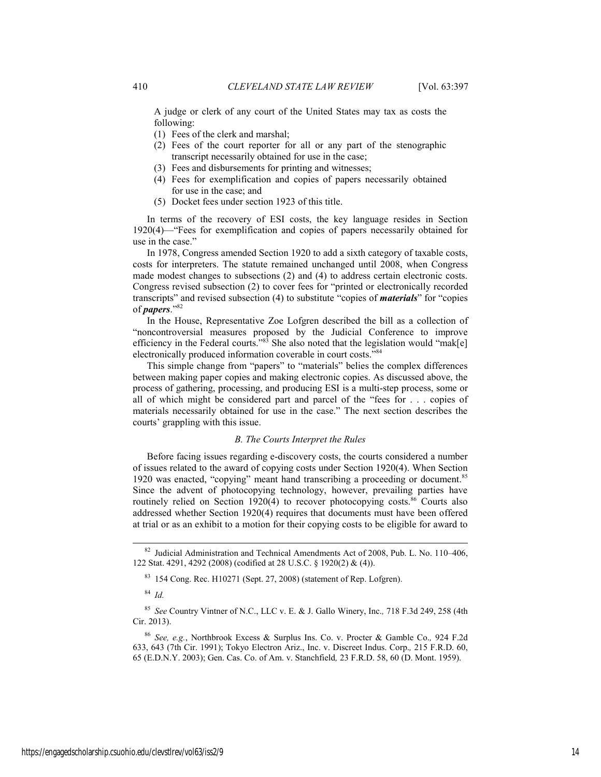A judge or clerk of any court of the United States may tax as costs the following:

- (1) Fees of the clerk and marshal;
- (2) Fees of the court reporter for all or any part of the stenographic transcript necessarily obtained for use in the case;
- (3) Fees and disbursements for printing and witnesses;
- (4) Fees for exemplification and copies of papers necessarily obtained for use in the case; and
- (5) Docket fees under section 1923 of this title.

In terms of the recovery of ESI costs, the key language resides in Section 1920(4)—"Fees for exemplification and copies of papers necessarily obtained for use in the case."

In 1978, Congress amended Section 1920 to add a sixth category of taxable costs, costs for interpreters. The statute remained unchanged until 2008, when Congress made modest changes to subsections (2) and (4) to address certain electronic costs. Congress revised subsection (2) to cover fees for "printed or electronically recorded transcripts" and revised subsection (4) to substitute "copies of *materials*" for "copies of *papers*."82

In the House, Representative Zoe Lofgren described the bill as a collection of "noncontroversial measures proposed by the Judicial Conference to improve efficiency in the Federal courts." $83$  She also noted that the legislation would "mak[e] electronically produced information coverable in court costs."84

This simple change from "papers" to "materials" belies the complex differences between making paper copies and making electronic copies. As discussed above, the process of gathering, processing, and producing ESI is a multi-step process, some or all of which might be considered part and parcel of the "fees for . . . copies of materials necessarily obtained for use in the case." The next section describes the courts' grappling with this issue.

#### *B. The Courts Interpret the Rules*

Before facing issues regarding e-discovery costs, the courts considered a number of issues related to the award of copying costs under Section 1920(4). When Section 1920 was enacted, "copying" meant hand transcribing a proceeding or document.<sup>85</sup> Since the advent of photocopying technology, however, prevailing parties have routinely relied on Section 1920(4) to recover photocopying costs.<sup>86</sup> Courts also addressed whether Section 1920(4) requires that documents must have been offered at trial or as an exhibit to a motion for their copying costs to be eligible for award to

83 154 Cong. Rec. H10271 (Sept. 27, 2008) (statement of Rep. Lofgren).

<sup>84</sup> *Id.*

<sup>85</sup> *See* Country Vintner of N.C., LLC v. E. & J. Gallo Winery, Inc.*,* 718 F.3d 249, 258 (4th Cir. 2013).

 <sup>82</sup> Judicial Administration and Technical Amendments Act of 2008, Pub. L. No. 110–406, 122 Stat. 4291, 4292 (2008) (codified at 28 U.S.C. § 1920(2) & (4)).

<sup>86</sup> *See, e.g.*, Northbrook Excess & Surplus Ins. Co. v. Procter & Gamble Co.*,* 924 F.2d 633, 643 (7th Cir. 1991); Tokyo Electron Ariz., Inc. v. Discreet Indus. Corp.*,* 215 F.R.D. 60, 65 (E.D.N.Y. 2003); Gen. Cas. Co. of Am. v. Stanchfield*,* 23 F.R.D. 58, 60 (D. Mont. 1959).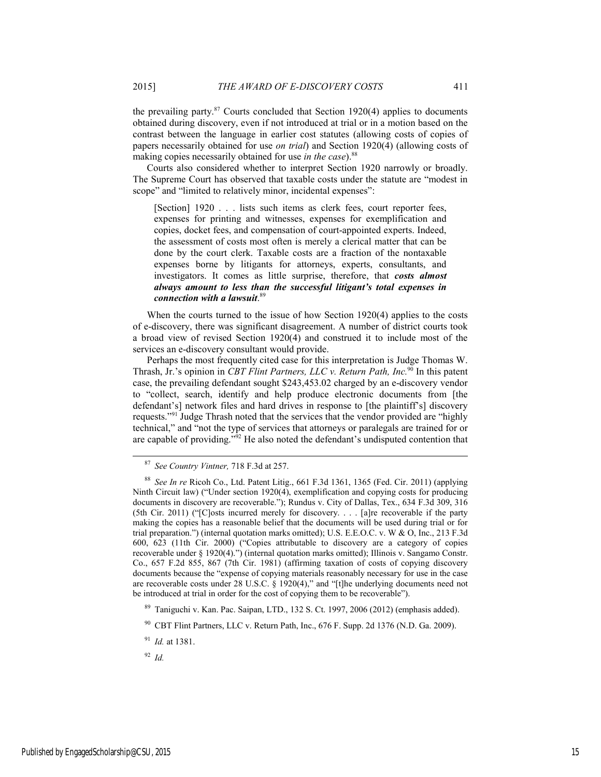the prevailing party. $87$  Courts concluded that Section 1920(4) applies to documents obtained during discovery, even if not introduced at trial or in a motion based on the contrast between the language in earlier cost statutes (allowing costs of copies of papers necessarily obtained for use *on trial*) and Section 1920(4) (allowing costs of making copies necessarily obtained for use *in the case*).<sup>88</sup>

Courts also considered whether to interpret Section 1920 narrowly or broadly. The Supreme Court has observed that taxable costs under the statute are "modest in scope" and "limited to relatively minor, incidental expenses":

[Section] 1920 . . . lists such items as clerk fees, court reporter fees, expenses for printing and witnesses, expenses for exemplification and copies, docket fees, and compensation of court-appointed experts. Indeed, the assessment of costs most often is merely a clerical matter that can be done by the court clerk. Taxable costs are a fraction of the nontaxable expenses borne by litigants for attorneys, experts, consultants, and investigators. It comes as little surprise, therefore, that *costs almost always amount to less than the successful litigant's total expenses in connection with a lawsuit*. 89

When the courts turned to the issue of how Section 1920(4) applies to the costs of e-discovery, there was significant disagreement. A number of district courts took a broad view of revised Section 1920(4) and construed it to include most of the services an e-discovery consultant would provide.

Perhaps the most frequently cited case for this interpretation is Judge Thomas W. Thrash, Jr.'s opinion in *CBT Flint Partners, LLC v. Return Path, Inc.*90 In this patent case, the prevailing defendant sought \$243,453.02 charged by an e-discovery vendor to "collect, search, identify and help produce electronic documents from [the defendant's] network files and hard drives in response to [the plaintiff's] discovery requests."91 Judge Thrash noted that the services that the vendor provided are "highly technical," and "not the type of services that attorneys or paralegals are trained for or are capable of providing.<sup>592</sup> He also noted the defendant's undisputed contention that

<sup>91</sup> *Id.* at 1381.

<sup>92</sup> *Id.* 

 <sup>87</sup> *See Country Vintner,* 718 F.3d at 257.

<sup>88</sup> *See In re* Ricoh Co., Ltd. Patent Litig., 661 F.3d 1361, 1365 (Fed. Cir. 2011) (applying Ninth Circuit law) ("Under section 1920(4), exemplification and copying costs for producing documents in discovery are recoverable."); Rundus v. City of Dallas, Tex., 634 F.3d 309, 316 (5th Cir. 2011) ("[C]osts incurred merely for discovery. . . . [a]re recoverable if the party making the copies has a reasonable belief that the documents will be used during trial or for trial preparation.") (internal quotation marks omitted); U.S. E.E.O.C. v. W & O, Inc., 213 F.3d 600, 623 (11th Cir. 2000) ("Copies attributable to discovery are a category of copies recoverable under § 1920(4).") (internal quotation marks omitted); Illinois v. Sangamo Constr. Co., 657 F.2d 855, 867 (7th Cir. 1981) (affirming taxation of costs of copying discovery documents because the "expense of copying materials reasonably necessary for use in the case are recoverable costs under 28 U.S.C. § 1920(4)," and "[t]he underlying documents need not be introduced at trial in order for the cost of copying them to be recoverable").

<sup>89</sup> Taniguchi v. Kan. Pac. Saipan, LTD., 132 S. Ct. 1997, 2006 (2012) (emphasis added).

<sup>90</sup> CBT Flint Partners, LLC v. Return Path, Inc., 676 F. Supp. 2d 1376 (N.D. Ga. 2009).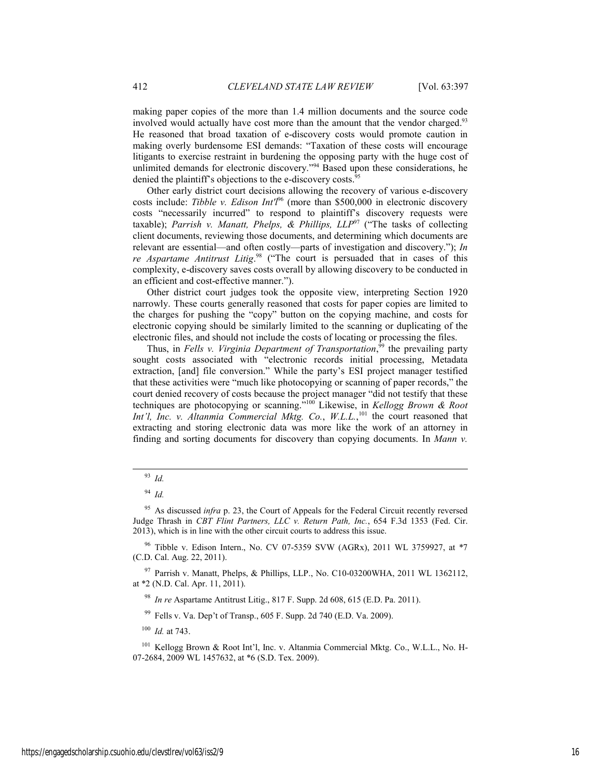making paper copies of the more than 1.4 million documents and the source code involved would actually have cost more than the amount that the vendor charged.<sup>93</sup> He reasoned that broad taxation of e-discovery costs would promote caution in making overly burdensome ESI demands: "Taxation of these costs will encourage litigants to exercise restraint in burdening the opposing party with the huge cost of unlimited demands for electronic discovery."<sup>94</sup> Based upon these considerations, he denied the plaintiff's objections to the e-discovery costs.<sup>95</sup>

Other early district court decisions allowing the recovery of various e-discovery costs include: *Tibble v. Edison Int'l*96 (more than \$500,000 in electronic discovery costs "necessarily incurred" to respond to plaintiff's discovery requests were taxable); *Parrish v. Manatt, Phelps, & Phillips,*  $LLP^{97}$  ("The tasks of collecting client documents, reviewing those documents, and determining which documents are relevant are essential—and often costly—parts of investigation and discovery."); *In re Aspartame Antitrust Litig*. 98 ("The court is persuaded that in cases of this complexity, e-discovery saves costs overall by allowing discovery to be conducted in an efficient and cost-effective manner.").

Other district court judges took the opposite view, interpreting Section 1920 narrowly. These courts generally reasoned that costs for paper copies are limited to the charges for pushing the "copy" button on the copying machine, and costs for electronic copying should be similarly limited to the scanning or duplicating of the electronic files, and should not include the costs of locating or processing the files.

Thus, in *Fells v. Virginia Department of Transportation*,<sup>99</sup> the prevailing party sought costs associated with "electronic records initial processing, Metadata extraction, [and] file conversion." While the party's ESI project manager testified that these activities were "much like photocopying or scanning of paper records," the court denied recovery of costs because the project manager "did not testify that these techniques are photocopying or scanning."100 Likewise, in *Kellogg Brown & Root*  Int'l, Inc. v. Altanmia Commercial Mktg. Co., W.L.L.,<sup>101</sup> the court reasoned that extracting and storing electronic data was more like the work of an attorney in finding and sorting documents for discovery than copying documents. In *Mann v.* 

95 As discussed *infra* p. 23, the Court of Appeals for the Federal Circuit recently reversed Judge Thrash in *CBT Flint Partners, LLC v. Return Path, Inc.*, 654 F.3d 1353 (Fed. Cir. 2013), which is in line with the other circuit courts to address this issue.

Tibble v. Edison Intern., No. CV 07-5359 SVW (AGRx), 2011 WL 3759927, at \*7 (C.D. Cal. Aug. 22, 2011).

97 Parrish v. Manatt, Phelps, & Phillips, LLP., No. C10-03200WHA, 2011 WL 1362112, at \*2 (N.D. Cal. Apr. 11, 2011).

<sup>98</sup> *In re* Aspartame Antitrust Litig., 817 F. Supp. 2d 608, 615 (E.D. Pa. 2011).

99 Fells v. Va. Dep't of Transp., 605 F. Supp. 2d 740 (E.D. Va. 2009).

<sup>100</sup> *Id.* at 743.

101 Kellogg Brown & Root Int'l, Inc. v. Altanmia Commercial Mktg. Co., W.L.L., No. H-07-2684, 2009 WL 1457632, at \*6 (S.D. Tex. 2009).

 <sup>93</sup> *Id.*

<sup>94</sup> *Id.*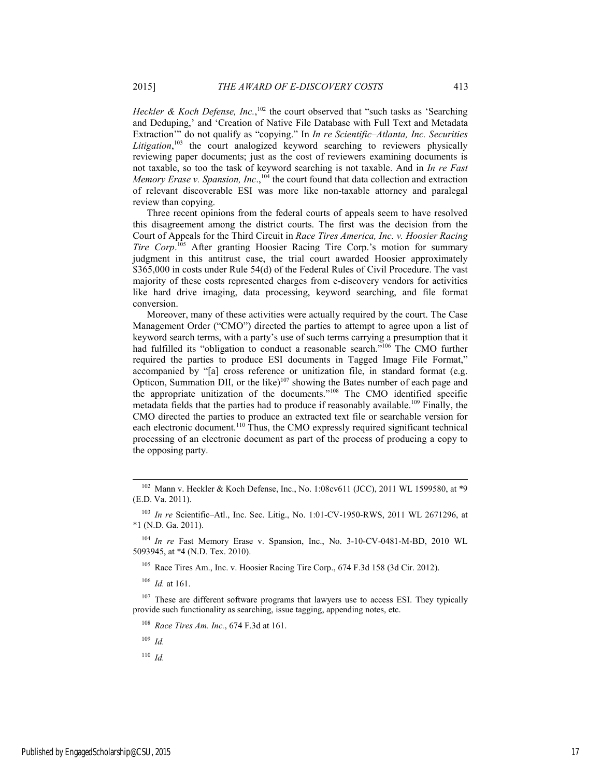Heckler & Koch Defense, Inc.,<sup>102</sup> the court observed that "such tasks as 'Searching and Deduping,' and 'Creation of Native File Database with Full Text and Metadata Extraction'" do not qualify as "copying." In *In re Scientific–Atlanta, Inc. Securities*  Litigation,<sup>103</sup> the court analogized keyword searching to reviewers physically reviewing paper documents; just as the cost of reviewers examining documents is not taxable, so too the task of keyword searching is not taxable. And in *In re Fast Memory Erase v. Spansion, Inc.*,<sup>104</sup> the court found that data collection and extraction of relevant discoverable ESI was more like non-taxable attorney and paralegal

Three recent opinions from the federal courts of appeals seem to have resolved this disagreement among the district courts. The first was the decision from the Court of Appeals for the Third Circuit in *Race Tires America, Inc. v. Hoosier Racing*  Tire Corp.<sup>105</sup> After granting Hoosier Racing Tire Corp.'s motion for summary judgment in this antitrust case, the trial court awarded Hoosier approximately \$365,000 in costs under Rule 54(d) of the Federal Rules of Civil Procedure. The vast majority of these costs represented charges from e-discovery vendors for activities like hard drive imaging, data processing, keyword searching, and file format conversion.

Moreover, many of these activities were actually required by the court. The Case Management Order ("CMO") directed the parties to attempt to agree upon a list of keyword search terms, with a party's use of such terms carrying a presumption that it had fulfilled its "obligation to conduct a reasonable search."<sup>106</sup> The CMO further required the parties to produce ESI documents in Tagged Image File Format," accompanied by "[a] cross reference or unitization file, in standard format (e.g. Opticon, Summation DII, or the like)<sup>107</sup> showing the Bates number of each page and the appropriate unitization of the documents."108 The CMO identified specific metadata fields that the parties had to produce if reasonably available.<sup>109</sup> Finally, the CMO directed the parties to produce an extracted text file or searchable version for each electronic document.<sup>110</sup> Thus, the CMO expressly required significant technical processing of an electronic document as part of the process of producing a copy to the opposing party.

<sup>103</sup> *In re* Scientific–Atl., Inc. Sec. Litig., No. 1:01-CV-1950-RWS, 2011 WL 2671296, at \*1 (N.D. Ga. 2011).

<sup>104</sup> *In re* Fast Memory Erase v. Spansion, Inc., No. 3-10-CV-0481-M-BD, 2010 WL 5093945, at \*4 (N.D. Tex. 2010).

105 Race Tires Am., Inc. v. Hoosier Racing Tire Corp., 674 F.3d 158 (3d Cir. 2012).

<sup>106</sup> *Id.* at 161.

 $107$  These are different software programs that lawyers use to access ESI. They typically provide such functionality as searching, issue tagging, appending notes, etc.

<sup>108</sup> *Race Tires Am. Inc.*, 674 F.3d at 161.

<sup>109</sup> *Id.*

<sup>110</sup> *Id.*

review than copying.

<sup>&</sup>lt;sup>102</sup> Mann v. Heckler & Koch Defense, Inc., No. 1:08cv611 (JCC), 2011 WL 1599580, at  $*9$ (E.D. Va. 2011).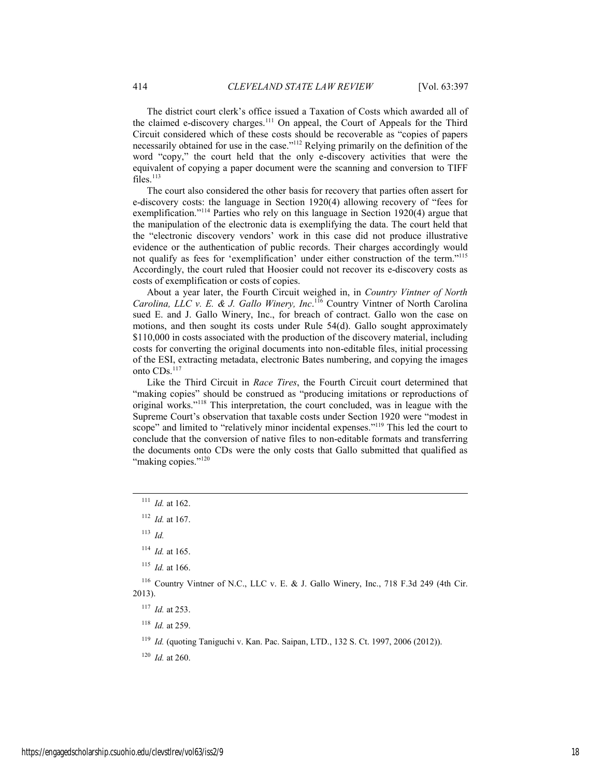The district court clerk's office issued a Taxation of Costs which awarded all of the claimed e-discovery charges.111 On appeal, the Court of Appeals for the Third Circuit considered which of these costs should be recoverable as "copies of papers necessarily obtained for use in the case."<sup>112</sup> Relying primarily on the definition of the word "copy," the court held that the only e-discovery activities that were the equivalent of copying a paper document were the scanning and conversion to TIFF files.<sup>113</sup>

The court also considered the other basis for recovery that parties often assert for e-discovery costs: the language in Section 1920(4) allowing recovery of "fees for exemplification."114 Parties who rely on this language in Section 1920(4) argue that the manipulation of the electronic data is exemplifying the data. The court held that the "electronic discovery vendors' work in this case did not produce illustrative evidence or the authentication of public records. Their charges accordingly would not qualify as fees for 'exemplification' under either construction of the term."115 Accordingly, the court ruled that Hoosier could not recover its e-discovery costs as costs of exemplification or costs of copies.

About a year later, the Fourth Circuit weighed in, in *Country Vintner of North Carolina, LLC v. E. & J. Gallo Winery, Inc*. 116 Country Vintner of North Carolina sued E. and J. Gallo Winery, Inc., for breach of contract. Gallo won the case on motions, and then sought its costs under Rule 54(d). Gallo sought approximately \$110,000 in costs associated with the production of the discovery material, including costs for converting the original documents into non-editable files, initial processing of the ESI, extracting metadata, electronic Bates numbering, and copying the images onto CDs.<sup>117</sup>

Like the Third Circuit in *Race Tires*, the Fourth Circuit court determined that "making copies" should be construed as "producing imitations or reproductions of original works."118 This interpretation, the court concluded, was in league with the Supreme Court's observation that taxable costs under Section 1920 were "modest in scope" and limited to "relatively minor incidental expenses."<sup>119</sup> This led the court to conclude that the conversion of native files to non-editable formats and transferring the documents onto CDs were the only costs that Gallo submitted that qualified as "making copies."<sup>120</sup>

<sup>113</sup> *Id.* 

116 Country Vintner of N.C., LLC v. E. & J. Gallo Winery, Inc., 718 F.3d 249 (4th Cir. 2013).

<sup>119</sup> *Id.* (quoting Taniguchi v. Kan. Pac. Saipan, LTD., 132 S. Ct. 1997, 2006 (2012)).

<sup>120</sup> *Id.* at 260.

 <sup>111</sup> *Id.* at 162.

<sup>112</sup> *Id.* at 167.

<sup>114</sup> *Id.* at 165.

<sup>115</sup> *Id.* at 166.

<sup>117</sup> *Id.* at 253.

<sup>118</sup> *Id.* at 259.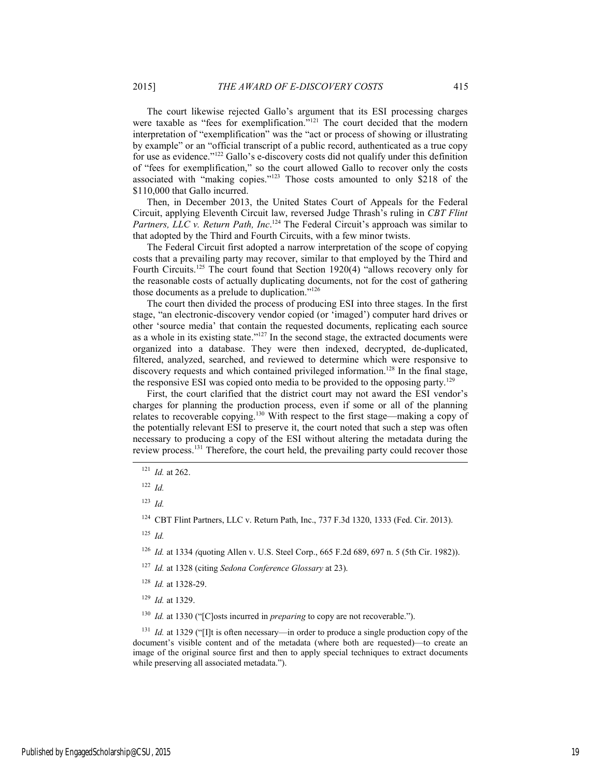The court likewise rejected Gallo's argument that its ESI processing charges were taxable as "fees for exemplification."<sup>121</sup> The court decided that the modern interpretation of "exemplification" was the "act or process of showing or illustrating by example" or an "official transcript of a public record, authenticated as a true copy for use as evidence."<sup>122</sup> Gallo's e-discovery costs did not qualify under this definition of "fees for exemplification," so the court allowed Gallo to recover only the costs associated with "making copies."123 Those costs amounted to only \$218 of the \$110,000 that Gallo incurred.

Then, in December 2013, the United States Court of Appeals for the Federal Circuit, applying Eleventh Circuit law, reversed Judge Thrash's ruling in *CBT Flint*  Partners, LLC v. Return Path, Inc.<sup>124</sup> The Federal Circuit's approach was similar to that adopted by the Third and Fourth Circuits, with a few minor twists.

The Federal Circuit first adopted a narrow interpretation of the scope of copying costs that a prevailing party may recover, similar to that employed by the Third and Fourth Circuits.<sup>125</sup> The court found that Section 1920(4) "allows recovery only for the reasonable costs of actually duplicating documents, not for the cost of gathering those documents as a prelude to duplication."126

The court then divided the process of producing ESI into three stages. In the first stage, "an electronic-discovery vendor copied (or 'imaged') computer hard drives or other 'source media' that contain the requested documents, replicating each source as a whole in its existing state."127 In the second stage, the extracted documents were organized into a database. They were then indexed, decrypted, de-duplicated, filtered, analyzed, searched, and reviewed to determine which were responsive to discovery requests and which contained privileged information.<sup>128</sup> In the final stage, the responsive ESI was copied onto media to be provided to the opposing party.<sup>129</sup>

First, the court clarified that the district court may not award the ESI vendor's charges for planning the production process, even if some or all of the planning relates to recoverable copying.130 With respect to the first stage—making a copy of the potentially relevant ESI to preserve it, the court noted that such a step was often necessary to producing a copy of the ESI without altering the metadata during the review process.131 Therefore, the court held, the prevailing party could recover those

<sup>122</sup> *Id.*

<sup>123</sup> *Id.*

<sup>124</sup> CBT Flint Partners, LLC v. Return Path, Inc., 737 F.3d 1320, 1333 (Fed. Cir. 2013).

<sup>125</sup> *Id.*

<sup>126</sup> *Id.* at 1334 *(*quoting Allen v. U.S. Steel Corp., 665 F.2d 689, 697 n. 5 (5th Cir. 1982)).

<sup>127</sup> *Id.* at 1328 (citing *Sedona Conference Glossary* at 23).

<sup>128</sup> *Id.* at 1328-29.

<sup>129</sup> *Id.* at 1329.

<sup>130</sup> *Id.* at 1330 ("[C]osts incurred in *preparing* to copy are not recoverable.").

<sup>131</sup> *Id.* at 1329 ("[I]t is often necessary—in order to produce a single production copy of the document's visible content and of the metadata (where both are requested)—to create an image of the original source first and then to apply special techniques to extract documents while preserving all associated metadata.").

 <sup>121</sup> *Id.* at 262.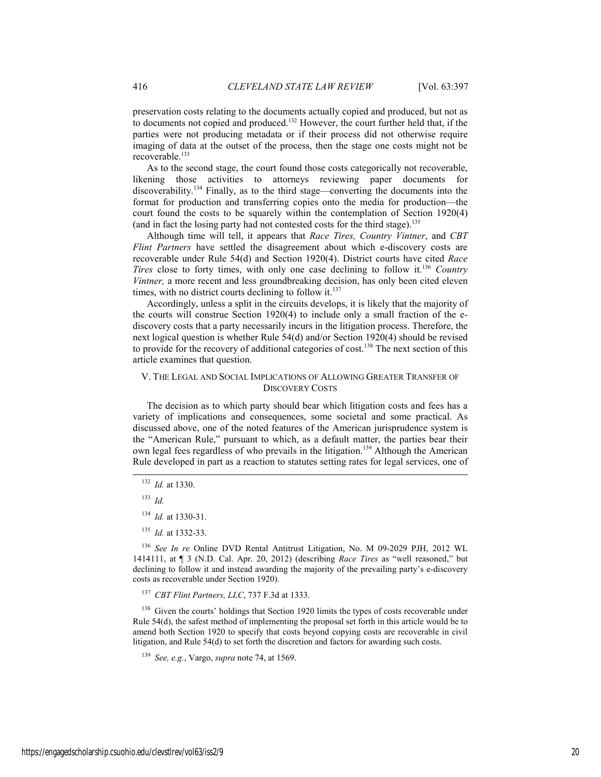preservation costs relating to the documents actually copied and produced, but not as to documents not copied and produced.<sup>132</sup> However, the court further held that, if the parties were not producing metadata or if their process did not otherwise require imaging of data at the outset of the process, then the stage one costs might not be recoverable.<sup>133</sup>

As to the second stage, the court found those costs categorically not recoverable, likening those activities to attorneys reviewing paper documents for discoverability.134 Finally, as to the third stage—converting the documents into the format for production and transferring copies onto the media for production—the court found the costs to be squarely within the contemplation of Section 1920(4) (and in fact the losing party had not contested costs for the third stage).<sup>135</sup>

Although time will tell, it appears that *Race Tires, Country Vintner*, and *CBT Flint Partners* have settled the disagreement about which e-discovery costs are recoverable under Rule 54(d) and Section 1920(4). District courts have cited *Race Tires* close to forty times, with only one case declining to follow it.<sup>136</sup> *Country Vintner,* a more recent and less groundbreaking decision, has only been cited eleven times, with no district courts declining to follow it. $137$ 

Accordingly, unless a split in the circuits develops, it is likely that the majority of the courts will construe Section 1920(4) to include only a small fraction of the ediscovery costs that a party necessarily incurs in the litigation process. Therefore, the next logical question is whether Rule 54(d) and/or Section 1920(4) should be revised to provide for the recovery of additional categories of cost.<sup>138</sup> The next section of this article examines that question.

#### V. THE LEGAL AND SOCIAL IMPLICATIONS OF ALLOWING GREATER TRANSFER OF DISCOVERY COSTS

The decision as to which party should bear which litigation costs and fees has a variety of implications and consequences, some societal and some practical. As discussed above, one of the noted features of the American jurisprudence system is the "American Rule," pursuant to which, as a default matter, the parties bear their own legal fees regardless of who prevails in the litigation.<sup>139</sup> Although the American Rule developed in part as a reaction to statutes setting rates for legal services, one of

<sup>136</sup> *See In re* Online DVD Rental Antitrust Litigation, No. M 09-2029 PJH, 2012 WL 1414111, at ¶ 3 (N.D. Cal. Apr. 20, 2012) (describing *Race Tires* as "well reasoned," but declining to follow it and instead awarding the majority of the prevailing party's e-discovery costs as recoverable under Section 1920).

<sup>137</sup> *CBT Flint Partners, LLC*, 737 F.3d at 1333.

<sup>138</sup> Given the courts' holdings that Section 1920 limits the types of costs recoverable under Rule 54(d), the safest method of implementing the proposal set forth in this article would be to amend both Section 1920 to specify that costs beyond copying costs are recoverable in civil litigation, and Rule 54(d) to set forth the discretion and factors for awarding such costs.

 <sup>132</sup> *Id.* at 1330.

<sup>133</sup> *Id.*

<sup>134</sup> *Id.* at 1330-31.

<sup>135</sup> *Id.* at 1332-33.

<sup>139</sup> *See, e.g.*, Vargo, *supra* note 74, at 1569.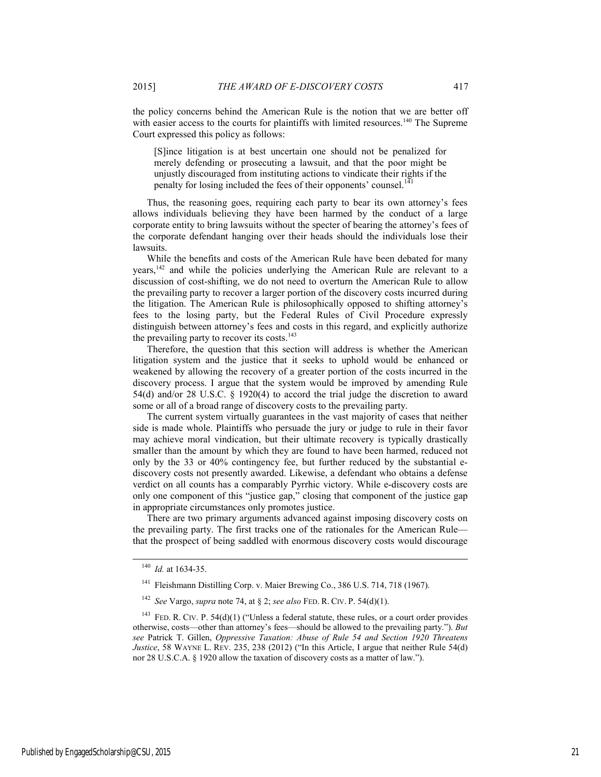the policy concerns behind the American Rule is the notion that we are better off with easier access to the courts for plaintiffs with limited resources.<sup>140</sup> The Supreme Court expressed this policy as follows:

[S]ince litigation is at best uncertain one should not be penalized for merely defending or prosecuting a lawsuit, and that the poor might be unjustly discouraged from instituting actions to vindicate their rights if the penalty for losing included the fees of their opponents' counsel.<sup>1</sup>

Thus, the reasoning goes, requiring each party to bear its own attorney's fees allows individuals believing they have been harmed by the conduct of a large corporate entity to bring lawsuits without the specter of bearing the attorney's fees of the corporate defendant hanging over their heads should the individuals lose their lawsuits.

While the benefits and costs of the American Rule have been debated for many years,142 and while the policies underlying the American Rule are relevant to a discussion of cost-shifting, we do not need to overturn the American Rule to allow the prevailing party to recover a larger portion of the discovery costs incurred during the litigation. The American Rule is philosophically opposed to shifting attorney's fees to the losing party, but the Federal Rules of Civil Procedure expressly distinguish between attorney's fees and costs in this regard, and explicitly authorize the prevailing party to recover its costs.<sup>143</sup>

Therefore, the question that this section will address is whether the American litigation system and the justice that it seeks to uphold would be enhanced or weakened by allowing the recovery of a greater portion of the costs incurred in the discovery process. I argue that the system would be improved by amending Rule 54(d) and/or 28 U.S.C. § 1920(4) to accord the trial judge the discretion to award some or all of a broad range of discovery costs to the prevailing party.

The current system virtually guarantees in the vast majority of cases that neither side is made whole. Plaintiffs who persuade the jury or judge to rule in their favor may achieve moral vindication, but their ultimate recovery is typically drastically smaller than the amount by which they are found to have been harmed, reduced not only by the 33 or 40% contingency fee, but further reduced by the substantial ediscovery costs not presently awarded. Likewise, a defendant who obtains a defense verdict on all counts has a comparably Pyrrhic victory. While e-discovery costs are only one component of this "justice gap," closing that component of the justice gap in appropriate circumstances only promotes justice.

There are two primary arguments advanced against imposing discovery costs on the prevailing party. The first tracks one of the rationales for the American Rule that the prospect of being saddled with enormous discovery costs would discourage

 <sup>140</sup> *Id.* at 1634-35.

<sup>141</sup> Fleishmann Distilling Corp. v. Maier Brewing Co., 386 U.S. 714, 718 (1967).

<sup>142</sup> *See* Vargo, *supra* note 74, at § 2; *see also* FED. R. CIV. P. 54(d)(1).

<sup>&</sup>lt;sup>143</sup> FED. R. CIV. P. 54(d)(1) ("Unless a federal statute, these rules, or a court order provides otherwise, costs—other than attorney's fees—should be allowed to the prevailing party."). *But see* Patrick T. Gillen, *Oppressive Taxation: Abuse of Rule 54 and Section 1920 Threatens Justice*, 58 WAYNE L. REV. 235, 238 (2012) ("In this Article, I argue that neither Rule 54(d) nor 28 U.S.C.A. § 1920 allow the taxation of discovery costs as a matter of law.").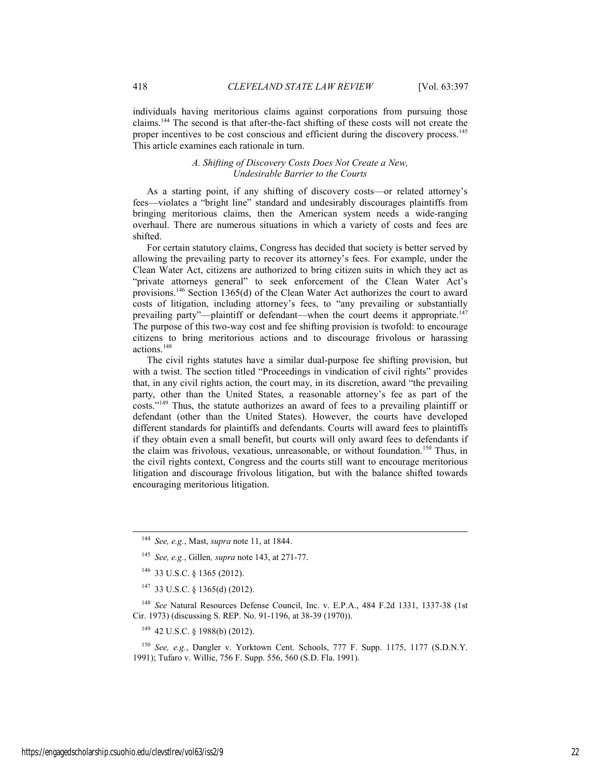individuals having meritorious claims against corporations from pursuing those claims.144 The second is that after-the-fact shifting of these costs will not create the proper incentives to be cost conscious and efficient during the discovery process.<sup>145</sup> This article examines each rationale in turn.

#### *A. Shifting of Discovery Costs Does Not Create a New, Undesirable Barrier to the Courts*

As a starting point, if any shifting of discovery costs—or related attorney's fees—violates a "bright line" standard and undesirably discourages plaintiffs from bringing meritorious claims, then the American system needs a wide-ranging overhaul. There are numerous situations in which a variety of costs and fees are shifted.

For certain statutory claims, Congress has decided that society is better served by allowing the prevailing party to recover its attorney's fees. For example, under the Clean Water Act, citizens are authorized to bring citizen suits in which they act as "private attorneys general" to seek enforcement of the Clean Water Act's provisions.146 Section 1365(d) of the Clean Water Act authorizes the court to award costs of litigation, including attorney's fees, to "any prevailing or substantially prevailing party"—plaintiff or defendant—when the court deems it appropriate.<sup>147</sup> The purpose of this two-way cost and fee shifting provision is twofold: to encourage citizens to bring meritorious actions and to discourage frivolous or harassing actions.148

The civil rights statutes have a similar dual-purpose fee shifting provision, but with a twist. The section titled "Proceedings in vindication of civil rights" provides that, in any civil rights action, the court may, in its discretion, award "the prevailing party, other than the United States, a reasonable attorney's fee as part of the costs."149 Thus, the statute authorizes an award of fees to a prevailing plaintiff or defendant (other than the United States). However, the courts have developed different standards for plaintiffs and defendants. Courts will award fees to plaintiffs if they obtain even a small benefit, but courts will only award fees to defendants if the claim was frivolous, vexatious, unreasonable, or without foundation.<sup>150</sup> Thus, in the civil rights context, Congress and the courts still want to encourage meritorious litigation and discourage frivolous litigation, but with the balance shifted towards encouraging meritorious litigation.

149 42 U.S.C. § 1988(b) (2012).

<sup>150</sup> *See, e.g.*, Dangler v. Yorktown Cent. Schools, 777 F. Supp. 1175, 1177 (S.D.N.Y. 1991); Tufaro v. Willie, 756 F. Supp. 556, 560 (S.D. Fla. 1991).

 <sup>144</sup> *See, e.g.*, Mast, *supra* note 11, at 1844.

<sup>145</sup> *See, e.g.*, Gillen*, supra* note 143, at 271-77.

<sup>146 33</sup> U.S.C. § 1365 (2012).

<sup>147 33</sup> U.S.C. § 1365(d) (2012).

<sup>148</sup> *See* Natural Resources Defense Council, Inc. v. E.P.A., 484 F.2d 1331, 1337-38 (1st Cir. 1973) (discussing S. REP. No. 91-1196, at 38-39 (1970)).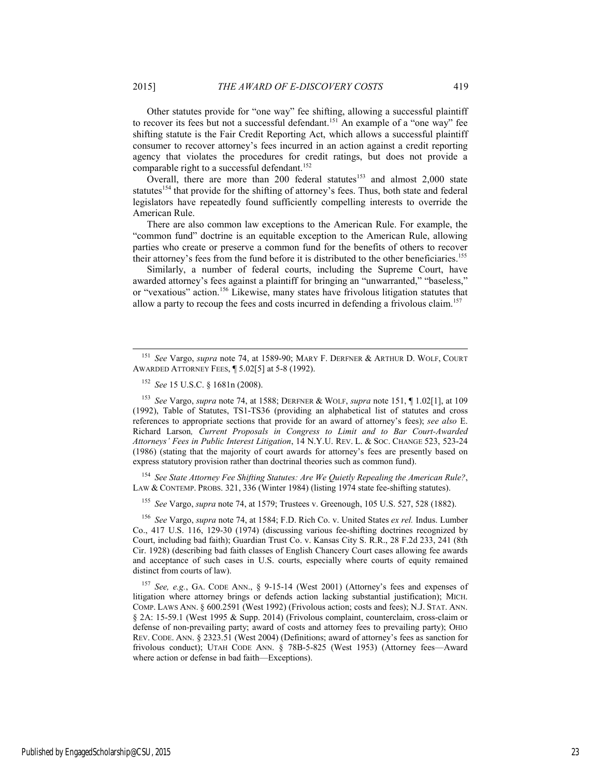Other statutes provide for "one way" fee shifting, allowing a successful plaintiff to recover its fees but not a successful defendant.<sup>151</sup> An example of a "one way" fee shifting statute is the Fair Credit Reporting Act, which allows a successful plaintiff consumer to recover attorney's fees incurred in an action against a credit reporting agency that violates the procedures for credit ratings, but does not provide a comparable right to a successful defendant.<sup>152</sup>

Overall, there are more than 200 federal statutes<sup>153</sup> and almost 2,000 state statutes<sup>154</sup> that provide for the shifting of attorney's fees. Thus, both state and federal legislators have repeatedly found sufficiently compelling interests to override the American Rule.

There are also common law exceptions to the American Rule. For example, the "common fund" doctrine is an equitable exception to the American Rule, allowing parties who create or preserve a common fund for the benefits of others to recover their attorney's fees from the fund before it is distributed to the other beneficiaries.<sup>155</sup>

Similarly, a number of federal courts, including the Supreme Court, have awarded attorney's fees against a plaintiff for bringing an "unwarranted," "baseless," or "vexatious" action.<sup>156</sup> Likewise, many states have frivolous litigation statutes that allow a party to recoup the fees and costs incurred in defending a frivolous claim.<sup>157</sup>

<sup>153</sup> *See* Vargo, *supra* note 74, at 1588; DERFNER & WOLF, *supra* note 151, ¶ 1.02[1], at 109 (1992), Table of Statutes, TS1-TS36 (providing an alphabetical list of statutes and cross references to appropriate sections that provide for an award of attorney's fees); *see also* E. Richard Larson*, Current Proposals in Congress to Limit and to Bar Court-Awarded Attorneys' Fees in Public Interest Litigation*, 14 N.Y.U. REV. L. & SOC. CHANGE 523, 523-24 (1986) (stating that the majority of court awards for attorney's fees are presently based on express statutory provision rather than doctrinal theories such as common fund).

<sup>154</sup> *See State Attorney Fee Shifting Statutes: Are We Quietly Repealing the American Rule?*, LAW & CONTEMP. PROBS. 321, 336 (Winter 1984) (listing 1974 state fee-shifting statutes).

<sup>155</sup> *See* Vargo, *supra* note 74, at 1579; Trustees v. Greenough, 105 U.S. 527, 528 (1882).

<sup>156</sup> *See* Vargo, *supra* note 74, at 1584; F.D. Rich Co. v. United States *ex rel.* Indus. Lumber Co., 417 U.S. 116, 129-30 (1974) (discussing various fee-shifting doctrines recognized by Court, including bad faith); Guardian Trust Co. v. Kansas City S. R.R., 28 F.2d 233, 241 (8th Cir. 1928) (describing bad faith classes of English Chancery Court cases allowing fee awards and acceptance of such cases in U.S. courts, especially where courts of equity remained distinct from courts of law).

<sup>157</sup> *See, e.g.*, GA. CODE ANN., § 9-15-14 (West 2001) (Attorney's fees and expenses of litigation where attorney brings or defends action lacking substantial justification); MICH. COMP. LAWS ANN. § 600.2591 (West 1992) (Frivolous action; costs and fees); N.J. STAT. ANN. § 2A: 15-59.1 (West 1995 & Supp. 2014) (Frivolous complaint, counterclaim, cross-claim or defense of non-prevailing party; award of costs and attorney fees to prevailing party); OHIO REV. CODE. ANN. § 2323.51 (West 2004) (Definitions; award of attorney's fees as sanction for frivolous conduct); UTAH CODE ANN. § 78B-5-825 (West 1953) (Attorney fees—Award where action or defense in bad faith—Exceptions).

 <sup>151</sup> *See* Vargo, *supra* note 74, at 1589-90; MARY F. DERFNER & ARTHUR D. WOLF, COURT AWARDED ATTORNEY FEES, ¶ 5.02[5] at 5-8 (1992).

<sup>152</sup> *See* 15 U.S.C. § 1681n (2008).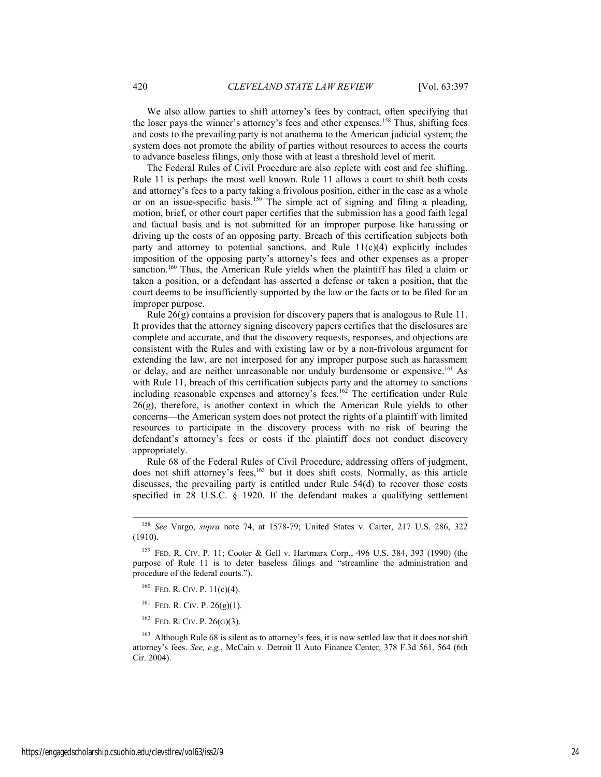We also allow parties to shift attorney's fees by contract, often specifying that the loser pays the winner's attorney's fees and other expenses.<sup>158</sup> Thus, shifting fees and costs to the prevailing party is not anathema to the American judicial system; the system does not promote the ability of parties without resources to access the courts to advance baseless filings, only those with at least a threshold level of merit.

The Federal Rules of Civil Procedure are also replete with cost and fee shifting. Rule 11 is perhaps the most well known. Rule 11 allows a court to shift both costs and attorney's fees to a party taking a frivolous position, either in the case as a whole or on an issue-specific basis.159 The simple act of signing and filing a pleading, motion, brief, or other court paper certifies that the submission has a good faith legal and factual basis and is not submitted for an improper purpose like harassing or driving up the costs of an opposing party. Breach of this certification subjects both party and attorney to potential sanctions, and Rule  $11(c)(4)$  explicitly includes imposition of the opposing party's attorney's fees and other expenses as a proper sanction.<sup>160</sup> Thus, the American Rule yields when the plaintiff has filed a claim or taken a position, or a defendant has asserted a defense or taken a position, that the court deems to be insufficiently supported by the law or the facts or to be filed for an improper purpose.

Rule 26(g) contains a provision for discovery papers that is analogous to Rule 11. It provides that the attorney signing discovery papers certifies that the disclosures are complete and accurate, and that the discovery requests, responses, and objections are consistent with the Rules and with existing law or by a non-frivolous argument for extending the law, are not interposed for any improper purpose such as harassment or delay, and are neither unreasonable nor unduly burdensome or expensive.<sup>161</sup> As with Rule 11, breach of this certification subjects party and the attorney to sanctions including reasonable expenses and attorney's fees.<sup>162</sup> The certification under Rule 26(g), therefore, is another context in which the American Rule yields to other concerns—the American system does not protect the rights of a plaintiff with limited resources to participate in the discovery process with no risk of bearing the defendant's attorney's fees or costs if the plaintiff does not conduct discovery appropriately.

Rule 68 of the Federal Rules of Civil Procedure, addressing offers of judgment, does not shift attorney's fees,<sup>163</sup> but it does shift costs. Normally, as this article discusses, the prevailing party is entitled under Rule 54(d) to recover those costs specified in 28 U.S.C. § 1920. If the defendant makes a qualifying settlement

- $160$  FED. R. CIV. P.  $11(c)(4)$ .
- $161$  FED. R. CIV. P. 26(g)(1).
- $162$  FED. R. CIV. P. 26(G)(3).

<sup>163</sup> Although Rule 68 is silent as to attorney's fees, it is now settled law that it does not shift attorney's fees. *See, e.g.*, McCain v. Detroit II Auto Finance Center, 378 F.3d 561, 564 (6th Cir. 2004).

 <sup>158</sup> *See* Vargo, *supra* note 74, at 1578-79; United States v. Carter, 217 U.S. 286, 322 (1910).

<sup>159</sup> FED. R. CIV. P. 11; Cooter & Gell v. Hartmarx Corp*.*, 496 U.S. 384, 393 (1990) (the purpose of Rule 11 is to deter baseless filings and "streamline the administration and procedure of the federal courts.").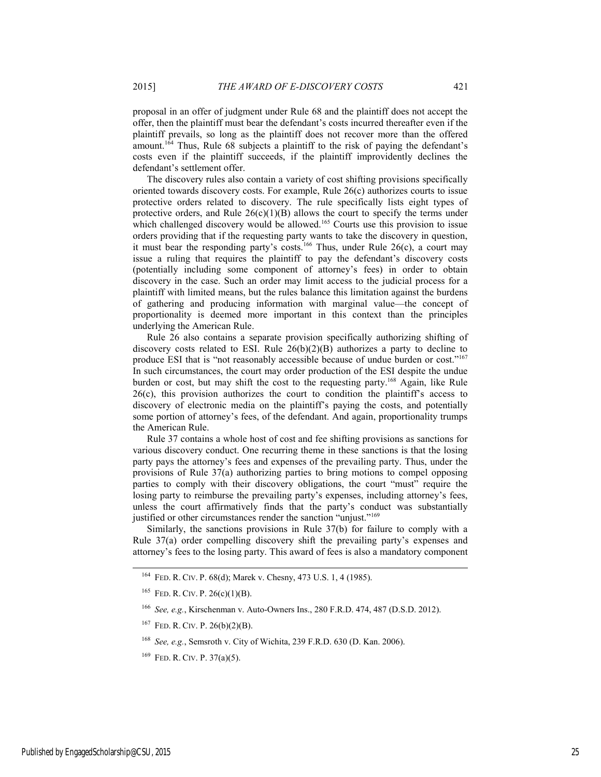proposal in an offer of judgment under Rule 68 and the plaintiff does not accept the offer, then the plaintiff must bear the defendant's costs incurred thereafter even if the plaintiff prevails, so long as the plaintiff does not recover more than the offered amount.<sup>164</sup> Thus, Rule  $68$  subjects a plaintiff to the risk of paying the defendant's costs even if the plaintiff succeeds, if the plaintiff improvidently declines the defendant's settlement offer.

The discovery rules also contain a variety of cost shifting provisions specifically oriented towards discovery costs. For example, Rule 26(c) authorizes courts to issue protective orders related to discovery. The rule specifically lists eight types of protective orders, and Rule  $26(c)(1)(B)$  allows the court to specify the terms under which challenged discovery would be allowed.<sup>165</sup> Courts use this provision to issue orders providing that if the requesting party wants to take the discovery in question, it must bear the responding party's costs.<sup>166</sup> Thus, under Rule 26(c), a court may issue a ruling that requires the plaintiff to pay the defendant's discovery costs (potentially including some component of attorney's fees) in order to obtain discovery in the case. Such an order may limit access to the judicial process for a plaintiff with limited means, but the rules balance this limitation against the burdens of gathering and producing information with marginal value—the concept of proportionality is deemed more important in this context than the principles underlying the American Rule.

Rule 26 also contains a separate provision specifically authorizing shifting of discovery costs related to ESI. Rule  $26(b)(2)(B)$  authorizes a party to decline to produce ESI that is "not reasonably accessible because of undue burden or cost."167 In such circumstances, the court may order production of the ESI despite the undue burden or cost, but may shift the cost to the requesting party.168 Again, like Rule  $26(c)$ , this provision authorizes the court to condition the plaintiff's access to discovery of electronic media on the plaintiff's paying the costs, and potentially some portion of attorney's fees, of the defendant. And again, proportionality trumps the American Rule.

Rule 37 contains a whole host of cost and fee shifting provisions as sanctions for various discovery conduct. One recurring theme in these sanctions is that the losing party pays the attorney's fees and expenses of the prevailing party. Thus, under the provisions of Rule 37(a) authorizing parties to bring motions to compel opposing parties to comply with their discovery obligations, the court "must" require the losing party to reimburse the prevailing party's expenses, including attorney's fees, unless the court affirmatively finds that the party's conduct was substantially justified or other circumstances render the sanction "unjust."<sup>169</sup>

Similarly, the sanctions provisions in Rule 37(b) for failure to comply with a Rule 37(a) order compelling discovery shift the prevailing party's expenses and attorney's fees to the losing party. This award of fees is also a mandatory component

 <sup>164</sup> FED. R. CIV. P. 68(d); Marek v. Chesny, 473 U.S. 1, 4 (1985).

<sup>&</sup>lt;sup>165</sup> FED. R. CIV. P.  $26(c)(1)(B)$ .

<sup>166</sup> *See, e.g.*, Kirschenman v. Auto-Owners Ins., 280 F.R.D. 474, 487 (D.S.D. 2012).

 $167$  FED. R. CIV. P. 26(b)(2)(B).

<sup>168</sup> *See, e.g.*, Semsroth v. City of Wichita, 239 F.R.D. 630 (D. Kan. 2006).

 $^{169}$  FED. R. CIV. P. 37(a)(5).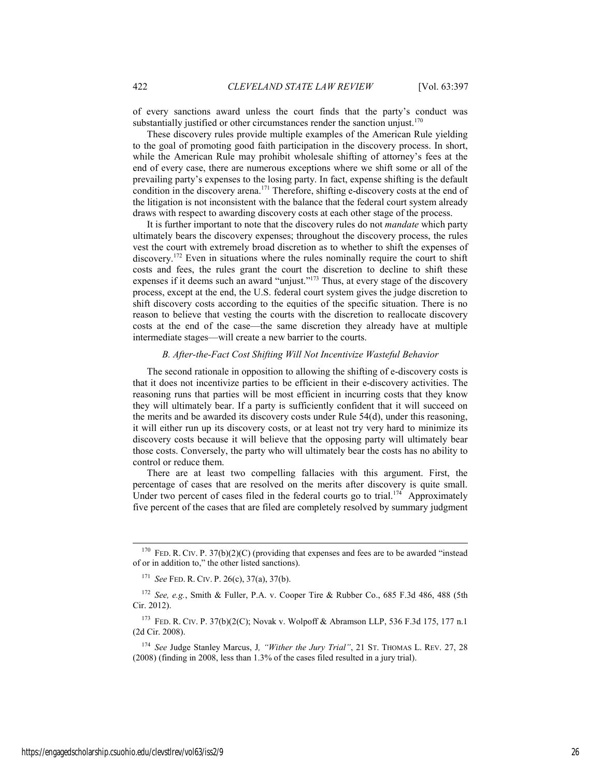of every sanctions award unless the court finds that the party's conduct was substantially justified or other circumstances render the sanction unjust.<sup>170</sup>

These discovery rules provide multiple examples of the American Rule yielding to the goal of promoting good faith participation in the discovery process. In short, while the American Rule may prohibit wholesale shifting of attorney's fees at the end of every case, there are numerous exceptions where we shift some or all of the prevailing party's expenses to the losing party. In fact, expense shifting is the default condition in the discovery arena.<sup>171</sup> Therefore, shifting e-discovery costs at the end of the litigation is not inconsistent with the balance that the federal court system already draws with respect to awarding discovery costs at each other stage of the process.

It is further important to note that the discovery rules do not *mandate* which party ultimately bears the discovery expenses; throughout the discovery process, the rules vest the court with extremely broad discretion as to whether to shift the expenses of discovery.<sup>172</sup> Even in situations where the rules nominally require the court to shift costs and fees, the rules grant the court the discretion to decline to shift these expenses if it deems such an award "unjust."173 Thus, at every stage of the discovery process, except at the end, the U.S. federal court system gives the judge discretion to shift discovery costs according to the equities of the specific situation. There is no reason to believe that vesting the courts with the discretion to reallocate discovery costs at the end of the case—the same discretion they already have at multiple intermediate stages—will create a new barrier to the courts.

#### *B. After-the-Fact Cost Shifting Will Not Incentivize Wasteful Behavior*

The second rationale in opposition to allowing the shifting of e-discovery costs is that it does not incentivize parties to be efficient in their e-discovery activities. The reasoning runs that parties will be most efficient in incurring costs that they know they will ultimately bear. If a party is sufficiently confident that it will succeed on the merits and be awarded its discovery costs under Rule 54(d), under this reasoning, it will either run up its discovery costs, or at least not try very hard to minimize its discovery costs because it will believe that the opposing party will ultimately bear those costs. Conversely, the party who will ultimately bear the costs has no ability to control or reduce them.

There are at least two compelling fallacies with this argument. First, the percentage of cases that are resolved on the merits after discovery is quite small. Under two percent of cases filed in the federal courts go to trial.<sup>174</sup> Approximately five percent of the cases that are filed are completely resolved by summary judgment

<sup>171</sup> *See* FED. R. CIV. P. 26(c), 37(a), 37(b).

<sup>&</sup>lt;sup>170</sup> FED. R. CIV. P. 37(b)(2)(C) (providing that expenses and fees are to be awarded "instead of or in addition to," the other listed sanctions).

<sup>172</sup> *See, e.g.*, Smith & Fuller, P.A. v. Cooper Tire & Rubber Co., 685 F.3d 486, 488 (5th Cir. 2012).

 <sup>173</sup> FED. R. CIV. P. 37(b)(2(C); Novak v. Wolpoff & Abramson LLP, 536 F.3d 175, 177 n.1 (2d Cir. 2008).

<sup>174</sup> *See* Judge Stanley Marcus, J*, "Wither the Jury Trial"*, 21 ST. THOMAS L. REV. 27, 28 (2008) (finding in 2008, less than 1.3% of the cases filed resulted in a jury trial).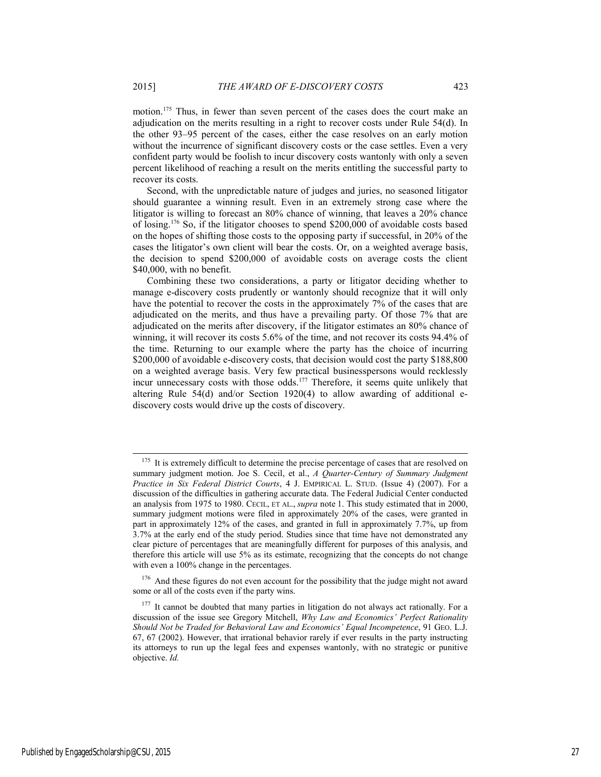motion.175 Thus, in fewer than seven percent of the cases does the court make an adjudication on the merits resulting in a right to recover costs under Rule 54(d). In the other 93–95 percent of the cases, either the case resolves on an early motion without the incurrence of significant discovery costs or the case settles. Even a very confident party would be foolish to incur discovery costs wantonly with only a seven percent likelihood of reaching a result on the merits entitling the successful party to recover its costs.

Second, with the unpredictable nature of judges and juries, no seasoned litigator should guarantee a winning result. Even in an extremely strong case where the litigator is willing to forecast an 80% chance of winning, that leaves a 20% chance of losing.176 So, if the litigator chooses to spend \$200,000 of avoidable costs based on the hopes of shifting those costs to the opposing party if successful, in 20% of the cases the litigator's own client will bear the costs. Or, on a weighted average basis, the decision to spend \$200,000 of avoidable costs on average costs the client \$40,000, with no benefit.

Combining these two considerations, a party or litigator deciding whether to manage e-discovery costs prudently or wantonly should recognize that it will only have the potential to recover the costs in the approximately 7% of the cases that are adjudicated on the merits, and thus have a prevailing party. Of those 7% that are adjudicated on the merits after discovery, if the litigator estimates an 80% chance of winning, it will recover its costs 5.6% of the time, and not recover its costs 94.4% of the time. Returning to our example where the party has the choice of incurring \$200,000 of avoidable e-discovery costs, that decision would cost the party \$188,800 on a weighted average basis. Very few practical businesspersons would recklessly incur unnecessary costs with those odds.<sup>177</sup> Therefore, it seems quite unlikely that altering Rule 54(d) and/or Section 1920(4) to allow awarding of additional ediscovery costs would drive up the costs of discovery.

 $176$  And these figures do not even account for the possibility that the judge might not award some or all of the costs even if the party wins.

It is extremely difficult to determine the precise percentage of cases that are resolved on summary judgment motion. Joe S. Cecil, et al., *A Quarter-Century of Summary Judgment Practice in Six Federal District Courts*, 4 J. EMPIRICAL L. STUD. (Issue 4) (2007). For a discussion of the difficulties in gathering accurate data. The Federal Judicial Center conducted an analysis from 1975 to 1980. CECIL, ET AL., *supra* note 1. This study estimated that in 2000, summary judgment motions were filed in approximately 20% of the cases, were granted in part in approximately 12% of the cases, and granted in full in approximately 7.7%, up from 3.7% at the early end of the study period. Studies since that time have not demonstrated any clear picture of percentages that are meaningfully different for purposes of this analysis, and therefore this article will use 5% as its estimate, recognizing that the concepts do not change with even a 100% change in the percentages.

 $177$  It cannot be doubted that many parties in litigation do not always act rationally. For a discussion of the issue see Gregory Mitchell, *Why Law and Economics' Perfect Rationality Should Not be Traded for Behavioral Law and Economics' Equal Incompetence*, 91 GEO. L.J. 67, 67 (2002). However, that irrational behavior rarely if ever results in the party instructing its attorneys to run up the legal fees and expenses wantonly, with no strategic or punitive objective. *Id.*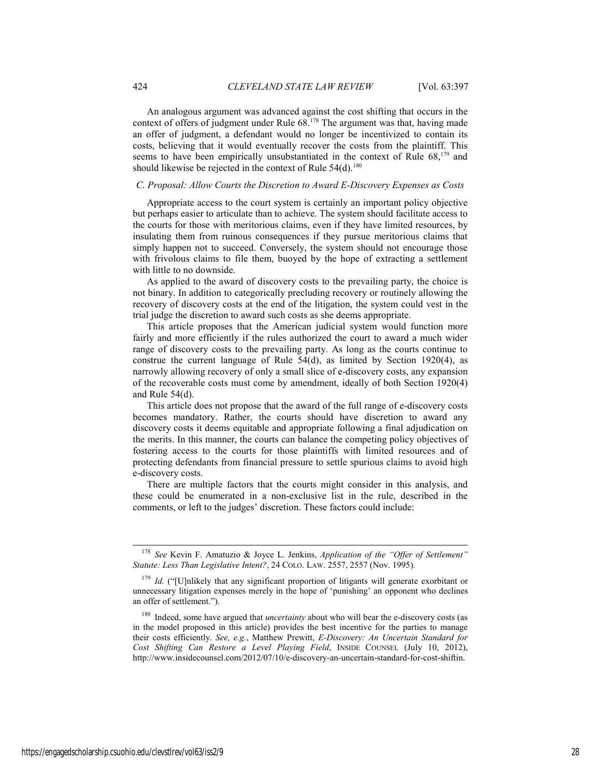An analogous argument was advanced against the cost shifting that occurs in the context of offers of judgment under Rule 68.178 The argument was that, having made an offer of judgment, a defendant would no longer be incentivized to contain its costs, believing that it would eventually recover the costs from the plaintiff. This seems to have been empirically unsubstantiated in the context of Rule  $68$ ,<sup>179</sup> and should likewise be rejected in the context of Rule  $54(d)$ .<sup>180</sup>

#### *C. Proposal: Allow Courts the Discretion to Award E-Discovery Expenses as Costs*

Appropriate access to the court system is certainly an important policy objective but perhaps easier to articulate than to achieve. The system should facilitate access to the courts for those with meritorious claims, even if they have limited resources, by insulating them from ruinous consequences if they pursue meritorious claims that simply happen not to succeed. Conversely, the system should not encourage those with frivolous claims to file them, buoyed by the hope of extracting a settlement with little to no downside.

As applied to the award of discovery costs to the prevailing party, the choice is not binary. In addition to categorically precluding recovery or routinely allowing the recovery of discovery costs at the end of the litigation, the system could vest in the trial judge the discretion to award such costs as she deems appropriate.

This article proposes that the American judicial system would function more fairly and more efficiently if the rules authorized the court to award a much wider range of discovery costs to the prevailing party. As long as the courts continue to construe the current language of Rule 54(d), as limited by Section 1920(4), as narrowly allowing recovery of only a small slice of e-discovery costs, any expansion of the recoverable costs must come by amendment, ideally of both Section 1920(4) and Rule 54(d).

This article does not propose that the award of the full range of e-discovery costs becomes mandatory. Rather, the courts should have discretion to award any discovery costs it deems equitable and appropriate following a final adjudication on the merits. In this manner, the courts can balance the competing policy objectives of fostering access to the courts for those plaintiffs with limited resources and of protecting defendants from financial pressure to settle spurious claims to avoid high e-discovery costs.

There are multiple factors that the courts might consider in this analysis, and these could be enumerated in a non-exclusive list in the rule, described in the comments, or left to the judges' discretion. These factors could include:

 <sup>178</sup> *See* Kevin F. Amatuzio & Joyce L. Jenkins, *Application of the "Offer of Settlement" Statute: Less Than Legislative Intent?*, 24 COLO. LAW. 2557, 2557 (Nov. 1995).

<sup>&</sup>lt;sup>179</sup> *Id.* ("[U]nlikely that any significant proportion of litigants will generate exorbitant or unnecessary litigation expenses merely in the hope of 'punishing' an opponent who declines an offer of settlement.").

<sup>&</sup>lt;sup>180</sup> Indeed, some have argued that *uncertainty* about who will bear the e-discovery costs (as in the model proposed in this article) provides the best incentive for the parties to manage their costs efficiently. *See, e.g.*, Matthew Prewitt, *E-Discovery: An Uncertain Standard for Cost Shifting Can Restore a Level Playing Field*, INSIDE COUNSEL (July 10, 2012), http://www.insidecounsel.com/2012/07/10/e-discovery-an-uncertain-standard-for-cost-shiftin.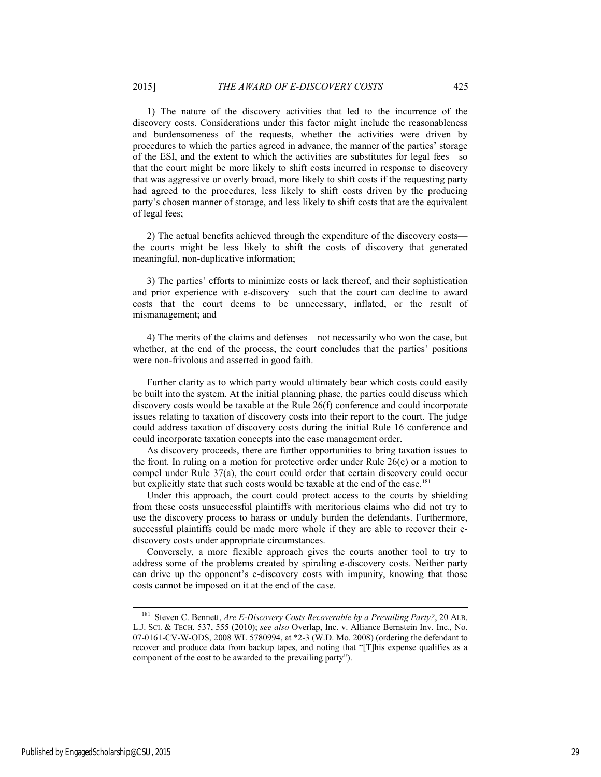1) The nature of the discovery activities that led to the incurrence of the discovery costs. Considerations under this factor might include the reasonableness and burdensomeness of the requests, whether the activities were driven by procedures to which the parties agreed in advance, the manner of the parties' storage of the ESI, and the extent to which the activities are substitutes for legal fees—so that the court might be more likely to shift costs incurred in response to discovery that was aggressive or overly broad, more likely to shift costs if the requesting party had agreed to the procedures, less likely to shift costs driven by the producing party's chosen manner of storage, and less likely to shift costs that are the equivalent of legal fees;

2) The actual benefits achieved through the expenditure of the discovery costs the courts might be less likely to shift the costs of discovery that generated meaningful, non-duplicative information;

3) The parties' efforts to minimize costs or lack thereof, and their sophistication and prior experience with e-discovery—such that the court can decline to award costs that the court deems to be unnecessary, inflated, or the result of mismanagement; and

4) The merits of the claims and defenses—not necessarily who won the case, but whether, at the end of the process, the court concludes that the parties' positions were non-frivolous and asserted in good faith.

Further clarity as to which party would ultimately bear which costs could easily be built into the system. At the initial planning phase, the parties could discuss which discovery costs would be taxable at the Rule 26(f) conference and could incorporate issues relating to taxation of discovery costs into their report to the court. The judge could address taxation of discovery costs during the initial Rule 16 conference and could incorporate taxation concepts into the case management order.

As discovery proceeds, there are further opportunities to bring taxation issues to the front. In ruling on a motion for protective order under Rule 26(c) or a motion to compel under Rule 37(a), the court could order that certain discovery could occur but explicitly state that such costs would be taxable at the end of the case.<sup>181</sup>

Under this approach, the court could protect access to the courts by shielding from these costs unsuccessful plaintiffs with meritorious claims who did not try to use the discovery process to harass or unduly burden the defendants. Furthermore, successful plaintiffs could be made more whole if they are able to recover their ediscovery costs under appropriate circumstances.

Conversely, a more flexible approach gives the courts another tool to try to address some of the problems created by spiraling e-discovery costs. Neither party can drive up the opponent's e-discovery costs with impunity, knowing that those costs cannot be imposed on it at the end of the case.

 <sup>181</sup> Steven C. Bennett, *Are E-Discovery Costs Recoverable by a Prevailing Party?*, 20 ALB. L.J. SCI. & TECH. 537, 555 (2010); *see also* Overlap, Inc. v. Alliance Bernstein Inv. Inc.*,* No. 07-0161-CV-W-ODS, 2008 WL 5780994, at \*2-3 (W.D. Mo. 2008) (ordering the defendant to recover and produce data from backup tapes, and noting that "[T]his expense qualifies as a component of the cost to be awarded to the prevailing party").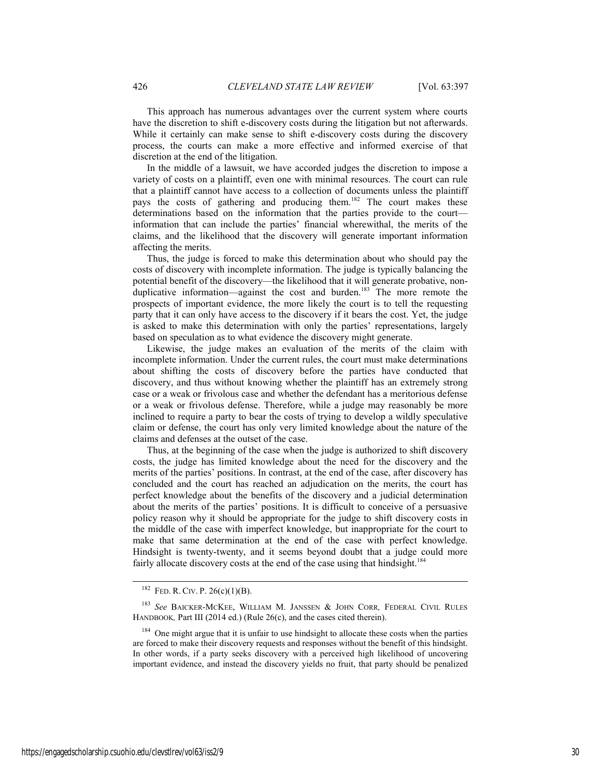This approach has numerous advantages over the current system where courts have the discretion to shift e-discovery costs during the litigation but not afterwards. While it certainly can make sense to shift e-discovery costs during the discovery process, the courts can make a more effective and informed exercise of that discretion at the end of the litigation.

In the middle of a lawsuit, we have accorded judges the discretion to impose a variety of costs on a plaintiff, even one with minimal resources. The court can rule that a plaintiff cannot have access to a collection of documents unless the plaintiff pays the costs of gathering and producing them.<sup>182</sup> The court makes these determinations based on the information that the parties provide to the court information that can include the parties' financial wherewithal, the merits of the claims, and the likelihood that the discovery will generate important information affecting the merits.

Thus, the judge is forced to make this determination about who should pay the costs of discovery with incomplete information. The judge is typically balancing the potential benefit of the discovery—the likelihood that it will generate probative, nonduplicative information—against the cost and burden.<sup>183</sup> The more remote the prospects of important evidence, the more likely the court is to tell the requesting party that it can only have access to the discovery if it bears the cost. Yet, the judge is asked to make this determination with only the parties' representations, largely based on speculation as to what evidence the discovery might generate.

Likewise, the judge makes an evaluation of the merits of the claim with incomplete information. Under the current rules, the court must make determinations about shifting the costs of discovery before the parties have conducted that discovery, and thus without knowing whether the plaintiff has an extremely strong case or a weak or frivolous case and whether the defendant has a meritorious defense or a weak or frivolous defense. Therefore, while a judge may reasonably be more inclined to require a party to bear the costs of trying to develop a wildly speculative claim or defense, the court has only very limited knowledge about the nature of the claims and defenses at the outset of the case.

Thus, at the beginning of the case when the judge is authorized to shift discovery costs, the judge has limited knowledge about the need for the discovery and the merits of the parties' positions. In contrast, at the end of the case, after discovery has concluded and the court has reached an adjudication on the merits, the court has perfect knowledge about the benefits of the discovery and a judicial determination about the merits of the parties' positions. It is difficult to conceive of a persuasive policy reason why it should be appropriate for the judge to shift discovery costs in the middle of the case with imperfect knowledge, but inappropriate for the court to make that same determination at the end of the case with perfect knowledge. Hindsight is twenty-twenty, and it seems beyond doubt that a judge could more fairly allocate discovery costs at the end of the case using that hindsight.<sup>184</sup>

<sup>&</sup>lt;sup>182</sup> FED. R. CIV. P. 26(c)(1)(B).

<sup>183</sup> *See* BAICKER-MCKEE, WILLIAM M. JANSSEN & JOHN CORR*,* FEDERAL CIVIL RULES HANDBOOK, Part III (2014 ed.) (Rule 26(c), and the cases cited therein).

<sup>184</sup> One might argue that it is unfair to use hindsight to allocate these costs when the parties are forced to make their discovery requests and responses without the benefit of this hindsight. In other words, if a party seeks discovery with a perceived high likelihood of uncovering important evidence, and instead the discovery yields no fruit, that party should be penalized